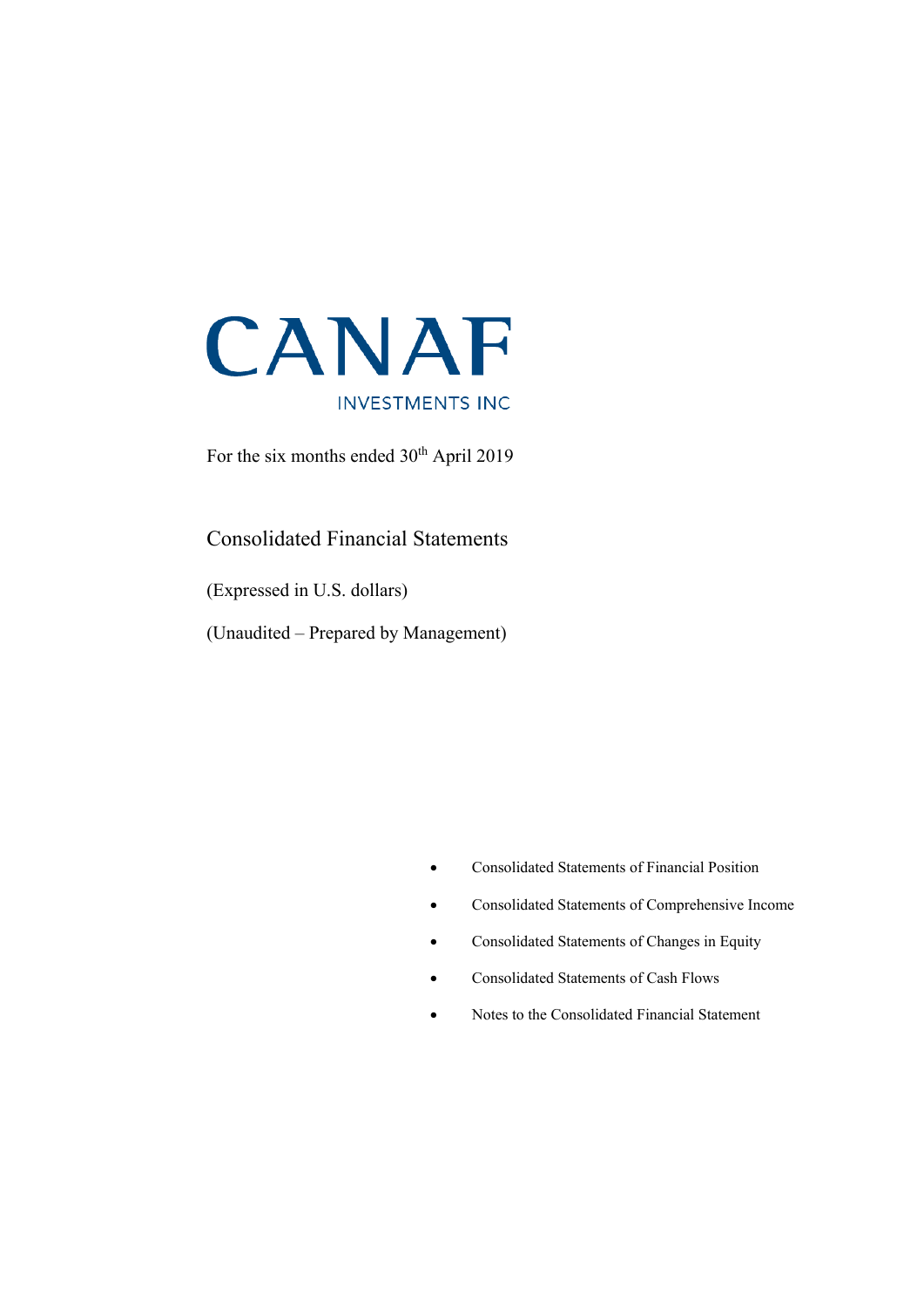

For the six months ended  $30<sup>th</sup>$  April 2019

### Consolidated Financial Statements

(Expressed in U.S. dollars)

(Unaudited – Prepared by Management)

- Consolidated Statements of Financial Position
- Consolidated Statements of Comprehensive Income
- Consolidated Statements of Changes in Equity
- Consolidated Statements of Cash Flows
- Notes to the Consolidated Financial Statement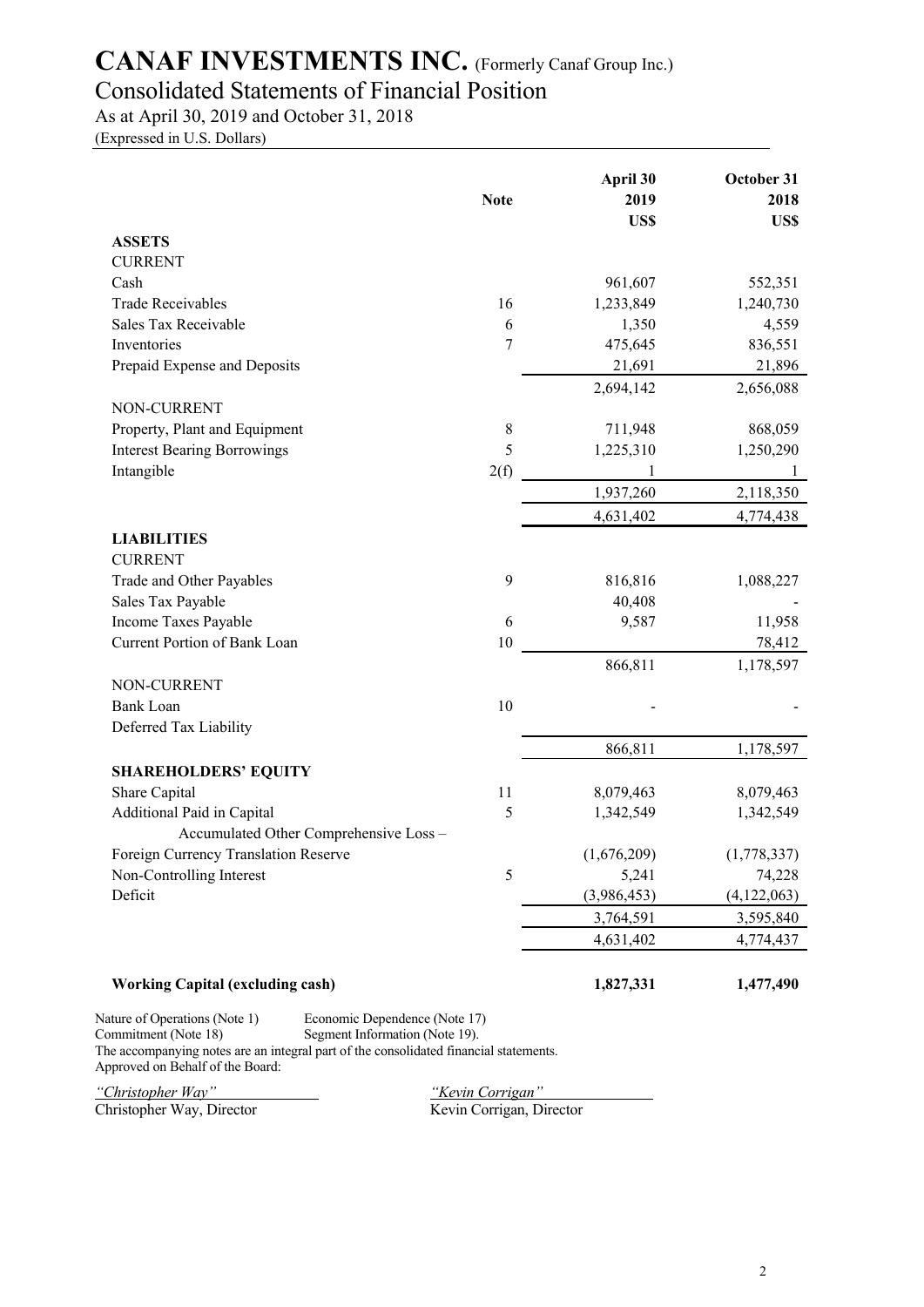## Consolidated Statements of Financial Position

As at April 30, 2019 and October 31, 2018

(Expressed in U.S. Dollars)

|                                         | <b>Note</b> | April 30<br>2019<br>US\$ | October 31<br>2018<br>US\$ |
|-----------------------------------------|-------------|--------------------------|----------------------------|
| <b>ASSETS</b>                           |             |                          |                            |
| <b>CURRENT</b>                          |             |                          |                            |
| Cash                                    |             | 961,607                  | 552,351                    |
| <b>Trade Receivables</b>                | 16          | 1,233,849                | 1,240,730                  |
| Sales Tax Receivable                    | 6           | 1,350                    | 4,559                      |
| Inventories                             | 7           | 475,645                  | 836,551                    |
| Prepaid Expense and Deposits            |             | 21,691                   | 21,896                     |
|                                         |             | 2,694,142                | 2,656,088                  |
| NON-CURRENT                             |             |                          |                            |
| Property, Plant and Equipment           | $\,$ $\,$   | 711,948                  | 868,059                    |
| <b>Interest Bearing Borrowings</b>      | 5           | 1,225,310                | 1,250,290                  |
| Intangible                              | 2(f)        | 1                        | -1                         |
|                                         |             | 1,937,260                | 2,118,350                  |
|                                         |             | 4,631,402                | 4,774,438                  |
| <b>LIABILITIES</b>                      |             |                          |                            |
| <b>CURRENT</b>                          |             |                          |                            |
| Trade and Other Payables                | 9           | 816,816                  | 1,088,227                  |
| Sales Tax Payable                       |             | 40,408                   |                            |
| Income Taxes Payable                    | 6           | 9,587                    | 11,958                     |
| Current Portion of Bank Loan            | 10          |                          | 78,412                     |
| NON-CURRENT                             |             | 866,811                  | 1,178,597                  |
| <b>Bank Loan</b>                        | 10          |                          |                            |
| Deferred Tax Liability                  |             |                          |                            |
|                                         |             | 866,811                  | 1,178,597                  |
| <b>SHAREHOLDERS' EQUITY</b>             |             |                          |                            |
| Share Capital                           | 11          | 8,079,463                | 8,079,463                  |
| Additional Paid in Capital              | 5           | 1,342,549                | 1,342,549                  |
| Accumulated Other Comprehensive Loss -  |             |                          |                            |
| Foreign Currency Translation Reserve    |             | (1,676,209)              | (1,778,337)                |
| Non-Controlling Interest                | 5           | 5,241                    | 74,228                     |
| Deficit                                 |             | (3,986,453)              | (4, 122, 063)              |
|                                         |             | 3,764,591                | 3,595,840                  |
|                                         |             | 4,631,402                | 4,774,437                  |
| <b>Working Capital (excluding cash)</b> |             | 1,827,331                | 1,477,490                  |

Commitment (Note 18) Segment Information (Note 19). The accompanying notes are an integral part of the consolidated financial statements. Approved on Behalf of the Board:

Christopher Way, Director

*"Christopher Way" "Kevin Corrigan"*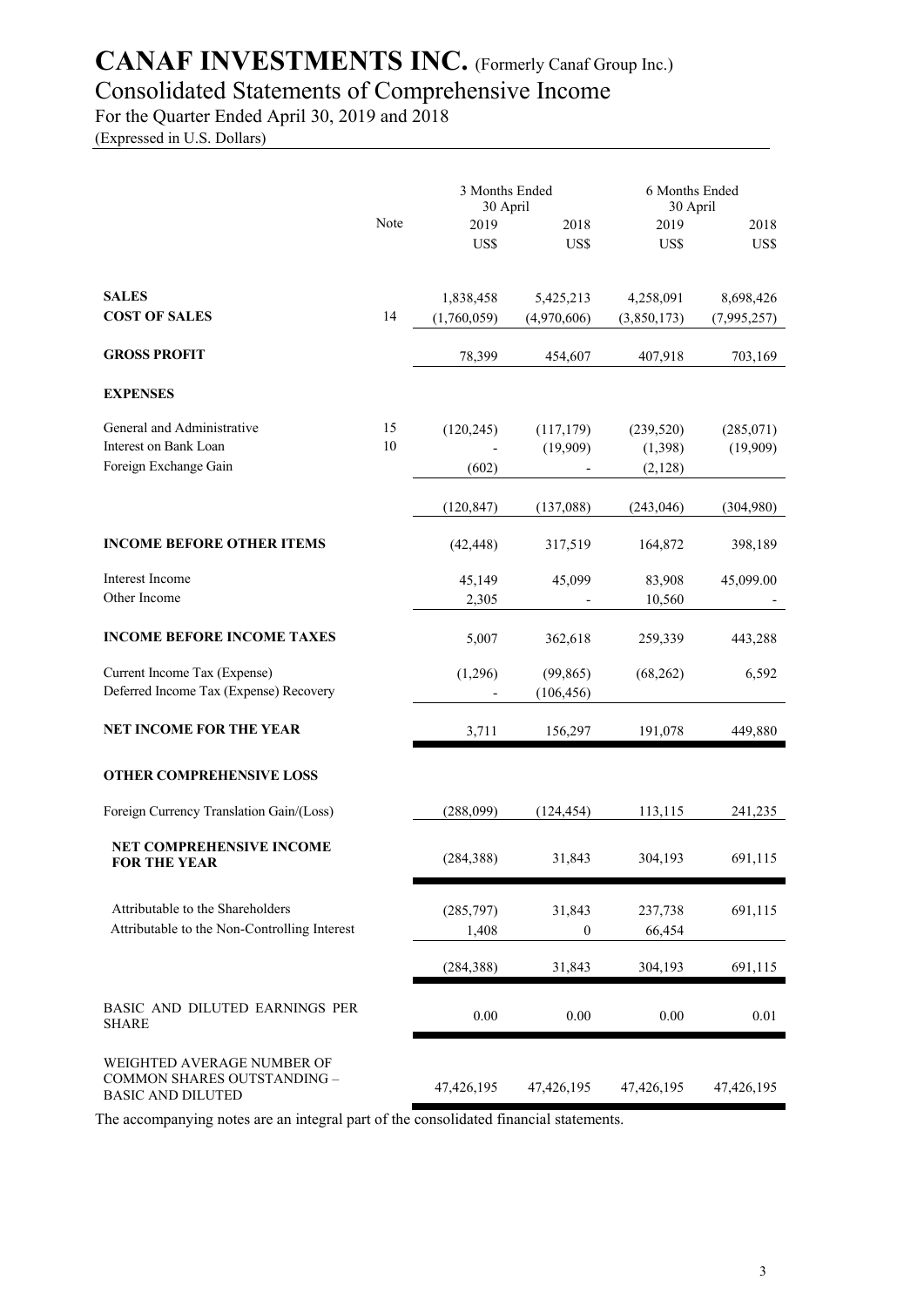### Consolidated Statements of Comprehensive Income

For the Quarter Ended April 30, 2019 and 2018

(Expressed in U.S. Dollars)

|                                                                                       |      | 3 Months Ended<br>30 April |             | 6 Months Ended<br>30 April |             |  |
|---------------------------------------------------------------------------------------|------|----------------------------|-------------|----------------------------|-------------|--|
|                                                                                       | Note | 2019                       | 2018        | 2019                       | 2018        |  |
|                                                                                       |      | US\$                       | US\$        | US\$                       | US\$        |  |
|                                                                                       |      |                            |             |                            |             |  |
| <b>SALES</b>                                                                          |      | 1,838,458                  | 5,425,213   | 4,258,091                  | 8,698,426   |  |
| <b>COST OF SALES</b>                                                                  | 14   | (1,760,059)                | (4,970,606) | (3,850,173)                | (7,995,257) |  |
| <b>GROSS PROFIT</b>                                                                   |      | 78,399                     | 454,607     | 407,918                    | 703,169     |  |
| <b>EXPENSES</b>                                                                       |      |                            |             |                            |             |  |
| General and Administrative                                                            | 15   | (120, 245)                 | (117, 179)  | (239, 520)                 | (285,071)   |  |
| Interest on Bank Loan                                                                 | 10   |                            | (19,909)    | (1, 398)                   | (19,909)    |  |
| Foreign Exchange Gain                                                                 |      | (602)                      |             | (2,128)                    |             |  |
|                                                                                       |      | (120, 847)                 | (137,088)   | (243, 046)                 | (304,980)   |  |
| <b>INCOME BEFORE OTHER ITEMS</b>                                                      |      | (42, 448)                  | 317,519     | 164,872                    | 398,189     |  |
| Interest Income                                                                       |      | 45,149                     | 45,099      | 83,908                     | 45,099.00   |  |
| Other Income                                                                          |      | 2,305                      |             | 10,560                     |             |  |
| <b>INCOME BEFORE INCOME TAXES</b>                                                     |      | 5,007                      | 362,618     | 259,339                    | 443,288     |  |
| Current Income Tax (Expense)                                                          |      | (1,296)                    | (99, 865)   | (68,262)                   | 6,592       |  |
| Deferred Income Tax (Expense) Recovery                                                |      |                            | (106, 456)  |                            |             |  |
| <b>NET INCOME FOR THE YEAR</b>                                                        |      | 3,711                      | 156,297     | 191,078                    | 449,880     |  |
| <b>OTHER COMPREHENSIVE LOSS</b>                                                       |      |                            |             |                            |             |  |
| Foreign Currency Translation Gain/(Loss)                                              |      | (288,099)                  | (124, 454)  | 113,115                    | 241,235     |  |
| <b>NET COMPREHENSIVE INCOME</b><br><b>FOR THE YEAR</b>                                |      | (284, 388)                 | 31,843      | 304,193                    | 691,115     |  |
| Attributable to the Shareholders                                                      |      | (285,797)                  | 31,843      | 237,738                    | 691,115     |  |
| Attributable to the Non-Controlling Interest                                          |      | 1,408                      | 0           | 66,454                     |             |  |
|                                                                                       |      | (284, 388)                 | 31,843      | 304,193                    | 691,115     |  |
| BASIC AND DILUTED EARNINGS PER<br><b>SHARE</b>                                        |      | $0.00\,$                   | $0.00\,$    | 0.00                       | 0.01        |  |
| WEIGHTED AVERAGE NUMBER OF<br>COMMON SHARES OUTSTANDING -<br><b>BASIC AND DILUTED</b> |      | 47, 426, 195               | 47,426,195  | 47,426,195                 | 47,426,195  |  |

The accompanying notes are an integral part of the consolidated financial statements.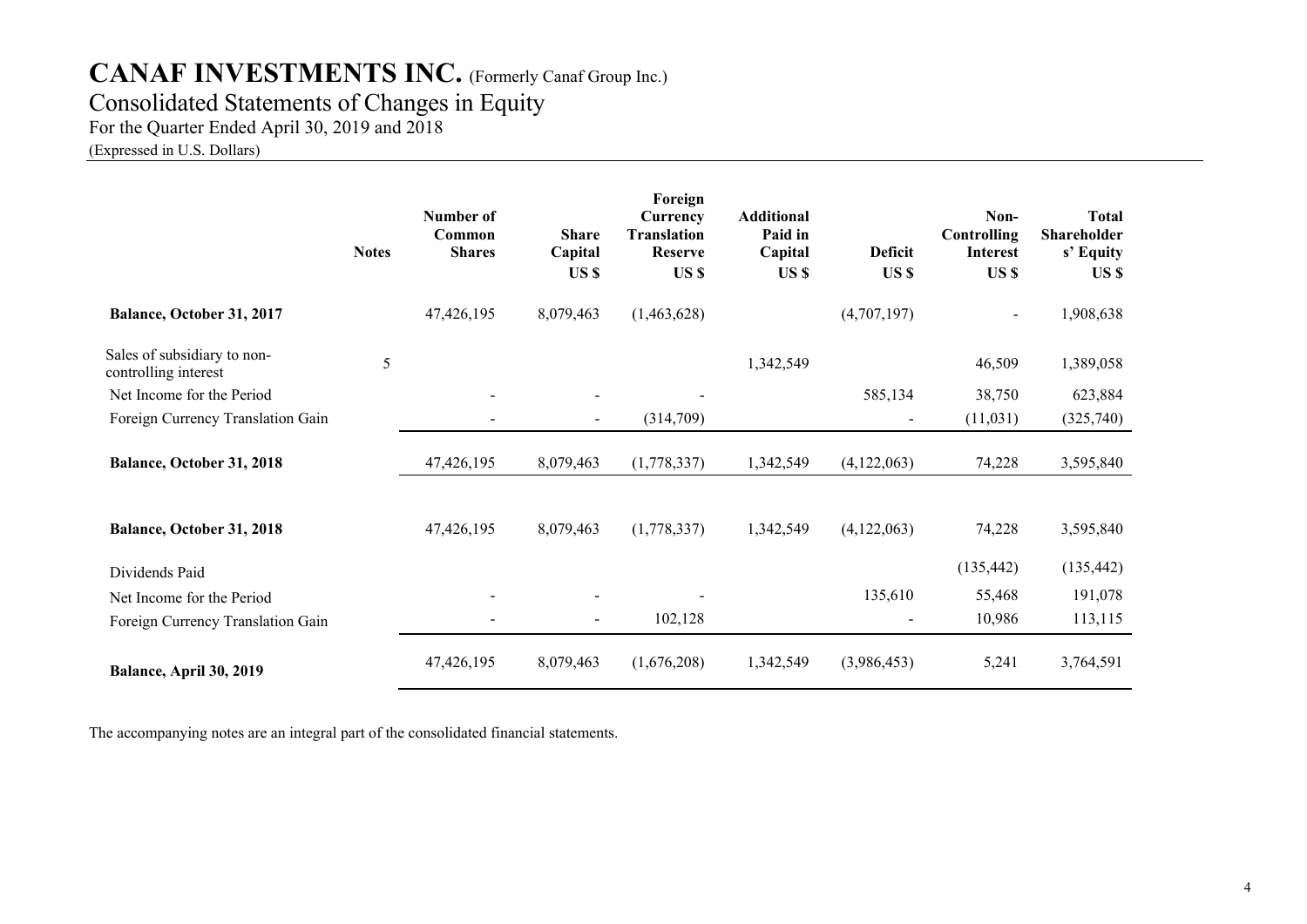### Consolidated Statements of Changes in Equity

For the Quarter Ended April 30, 2019 and 2018

(Expressed in U.S. Dollars)

|                                                     | <b>Notes</b> | Number of<br>Common<br><b>Shares</b> | <b>Share</b><br>Capital<br>US \$ | Foreign<br>Currency<br><b>Translation</b><br><b>Reserve</b><br>US \$ | <b>Additional</b><br>Paid in<br>Capital<br>US \$ | <b>Deficit</b><br>US \$  | Non-<br>Controlling<br><b>Interest</b><br>US \$ | <b>Total</b><br>Shareholder<br>s' Equity<br>US \$ |
|-----------------------------------------------------|--------------|--------------------------------------|----------------------------------|----------------------------------------------------------------------|--------------------------------------------------|--------------------------|-------------------------------------------------|---------------------------------------------------|
| Balance, October 31, 2017                           |              | 47,426,195                           | 8,079,463                        | (1,463,628)                                                          |                                                  | (4,707,197)              |                                                 | 1,908,638                                         |
| Sales of subsidiary to non-<br>controlling interest | 5            |                                      |                                  |                                                                      | 1,342,549                                        |                          | 46,509                                          | 1,389,058                                         |
| Net Income for the Period                           |              |                                      |                                  |                                                                      |                                                  | 585,134                  | 38,750                                          | 623,884                                           |
| Foreign Currency Translation Gain                   |              |                                      | $\blacksquare$                   | (314,709)                                                            |                                                  | $\overline{\phantom{a}}$ | (11,031)                                        | (325,740)                                         |
| Balance, October 31, 2018                           |              | 47,426,195                           | 8,079,463                        | (1,778,337)                                                          | 1,342,549                                        | (4,122,063)              | 74,228                                          | 3,595,840                                         |
| Balance, October 31, 2018                           |              | 47,426,195                           | 8,079,463                        | (1,778,337)                                                          | 1,342,549                                        | (4,122,063)              | 74,228                                          | 3,595,840                                         |
| Dividends Paid                                      |              |                                      |                                  |                                                                      |                                                  |                          | (135, 442)                                      | (135, 442)                                        |
| Net Income for the Period                           |              |                                      |                                  |                                                                      |                                                  | 135,610                  | 55,468                                          | 191,078                                           |
| Foreign Currency Translation Gain                   |              |                                      | -                                | 102,128                                                              |                                                  | $\blacksquare$           | 10,986                                          | 113,115                                           |
| Balance, April 30, 2019                             |              | 47,426,195                           | 8,079,463                        | (1,676,208)                                                          | 1,342,549                                        | (3,986,453)              | 5,241                                           | 3,764,591                                         |

The accompanying notes are an integral part of the consolidated financial statements.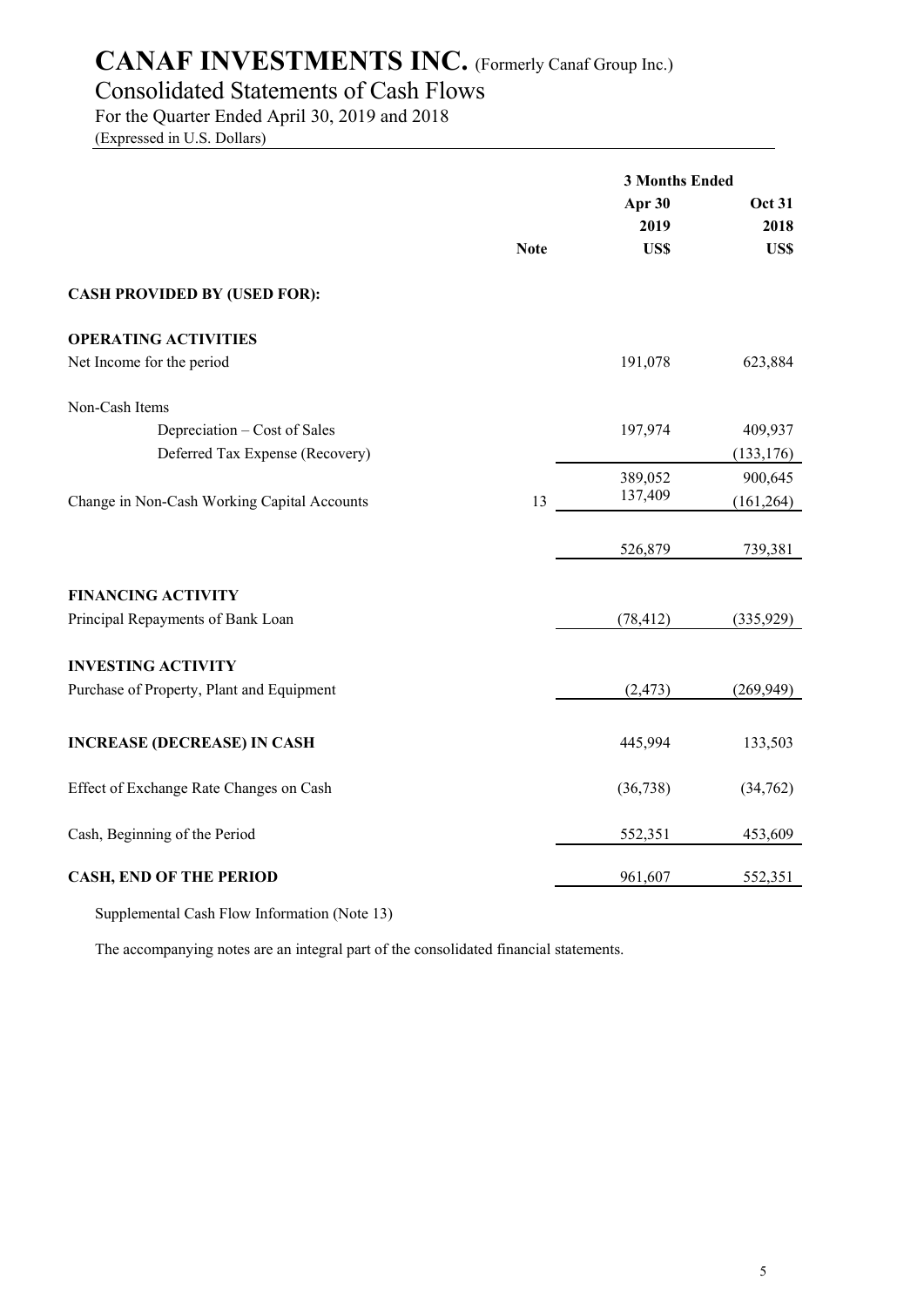## Consolidated Statements of Cash Flows

For the Quarter Ended April 30, 2019 and 2018

(Expressed in U.S. Dollars)

|                                             |             | <b>3 Months Ended</b> |               |
|---------------------------------------------|-------------|-----------------------|---------------|
|                                             |             | Apr 30                | <b>Oct 31</b> |
|                                             |             | 2019                  | 2018          |
|                                             | <b>Note</b> | US\$                  | US\$          |
| <b>CASH PROVIDED BY (USED FOR):</b>         |             |                       |               |
| <b>OPERATING ACTIVITIES</b>                 |             |                       |               |
| Net Income for the period                   |             | 191,078               | 623,884       |
| Non-Cash Items                              |             |                       |               |
| Depreciation – Cost of Sales                |             | 197,974               | 409,937       |
| Deferred Tax Expense (Recovery)             |             |                       | (133, 176)    |
|                                             |             | 389,052               | 900,645       |
| Change in Non-Cash Working Capital Accounts | 13          | 137,409               | (161, 264)    |
|                                             |             | 526,879               | 739,381       |
| <b>FINANCING ACTIVITY</b>                   |             |                       |               |
| Principal Repayments of Bank Loan           |             | (78, 412)             | (335,929)     |
| <b>INVESTING ACTIVITY</b>                   |             |                       |               |
| Purchase of Property, Plant and Equipment   |             | (2, 473)              | (269, 949)    |
| <b>INCREASE (DECREASE) IN CASH</b>          |             | 445,994               | 133,503       |
| Effect of Exchange Rate Changes on Cash     |             | (36, 738)             | (34,762)      |
| Cash, Beginning of the Period               |             | 552,351               | 453,609       |
| <b>CASH, END OF THE PERIOD</b>              |             | 961,607               | 552,351       |
|                                             |             |                       |               |

Supplemental Cash Flow Information (Note 13)

The accompanying notes are an integral part of the consolidated financial statements.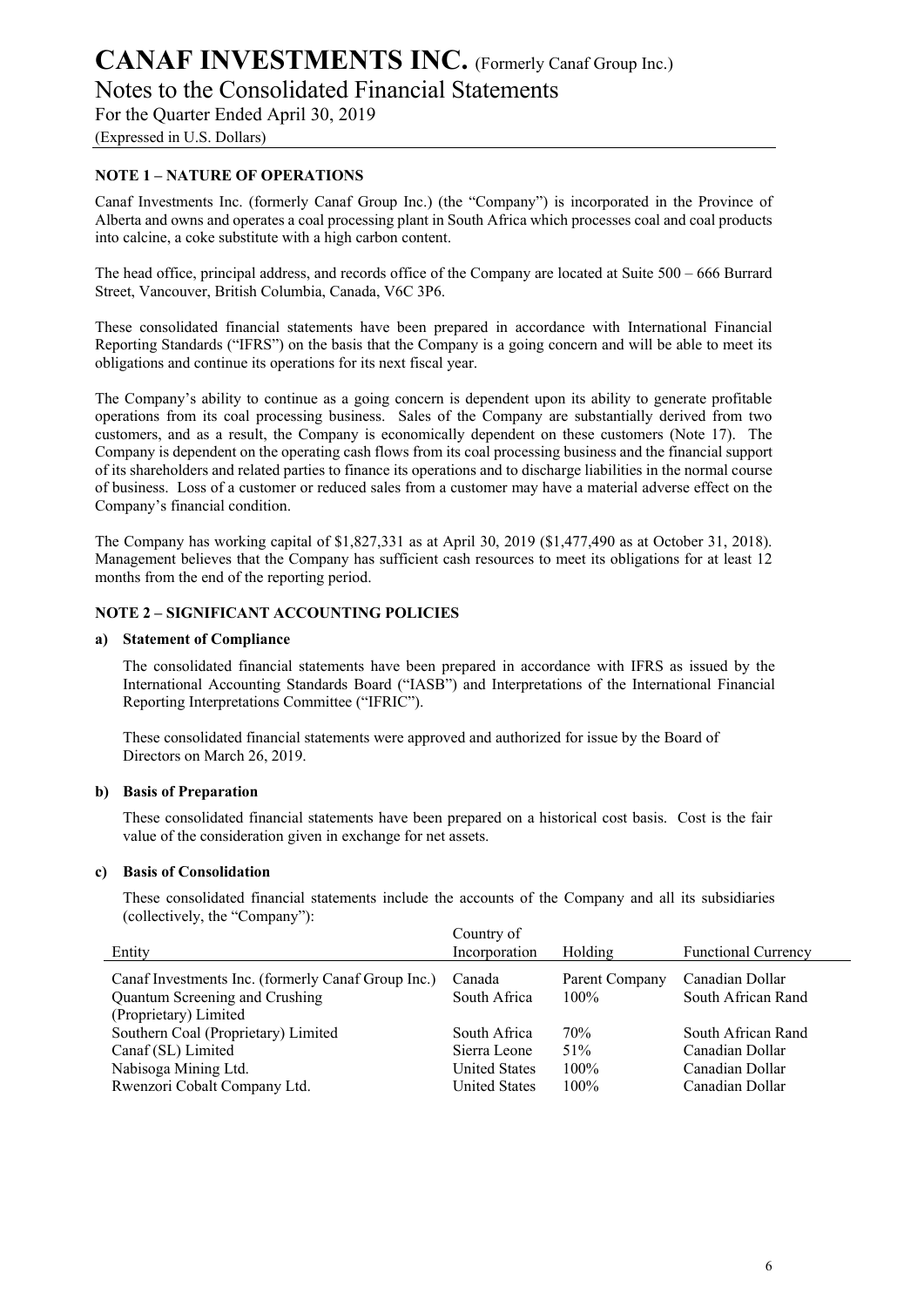Notes to the Consolidated Financial Statements

For the Quarter Ended April 30, 2019

(Expressed in U.S. Dollars)

#### **NOTE 1 – NATURE OF OPERATIONS**

Canaf Investments Inc. (formerly Canaf Group Inc.) (the "Company") is incorporated in the Province of Alberta and owns and operates a coal processing plant in South Africa which processes coal and coal products into calcine, a coke substitute with a high carbon content.

The head office, principal address, and records office of the Company are located at Suite 500 – 666 Burrard Street, Vancouver, British Columbia, Canada, V6C 3P6.

These consolidated financial statements have been prepared in accordance with International Financial Reporting Standards ("IFRS") on the basis that the Company is a going concern and will be able to meet its obligations and continue its operations for its next fiscal year.

The Company's ability to continue as a going concern is dependent upon its ability to generate profitable operations from its coal processing business. Sales of the Company are substantially derived from two customers, and as a result, the Company is economically dependent on these customers (Note 17). The Company is dependent on the operating cash flows from its coal processing business and the financial support of its shareholders and related parties to finance its operations and to discharge liabilities in the normal course of business. Loss of a customer or reduced sales from a customer may have a material adverse effect on the Company's financial condition.

The Company has working capital of \$1,827,331 as at April 30, 2019 (\$1,477,490 as at October 31, 2018). Management believes that the Company has sufficient cash resources to meet its obligations for at least 12 months from the end of the reporting period.

#### **NOTE 2 – SIGNIFICANT ACCOUNTING POLICIES**

#### **a) Statement of Compliance**

The consolidated financial statements have been prepared in accordance with IFRS as issued by the International Accounting Standards Board ("IASB") and Interpretations of the International Financial Reporting Interpretations Committee ("IFRIC").

These consolidated financial statements were approved and authorized for issue by the Board of Directors on March 26, 2019.

#### **b) Basis of Preparation**

These consolidated financial statements have been prepared on a historical cost basis. Cost is the fair value of the consideration given in exchange for net assets.

#### **c) Basis of Consolidation**

These consolidated financial statements include the accounts of the Company and all its subsidiaries (collectively, the "Company"):

| Entity                                             | Country of<br>Incorporation | Holding        | <b>Functional Currency</b> |
|----------------------------------------------------|-----------------------------|----------------|----------------------------|
|                                                    |                             |                |                            |
| Canaf Investments Inc. (formerly Canaf Group Inc.) | Canada                      | Parent Company | Canadian Dollar            |
| Quantum Screening and Crushing                     | South Africa                | $100\%$        | South African Rand         |
| (Proprietary) Limited                              |                             |                |                            |
| Southern Coal (Proprietary) Limited                | South Africa                | 70%            | South African Rand         |
| Canaf (SL) Limited                                 | Sierra Leone                | 51%            | Canadian Dollar            |
| Nabisoga Mining Ltd.                               | <b>United States</b>        | $100\%$        | Canadian Dollar            |
| Rwenzori Cobalt Company Ltd.                       | <b>United States</b>        | 100%           | Canadian Dollar            |
|                                                    |                             |                |                            |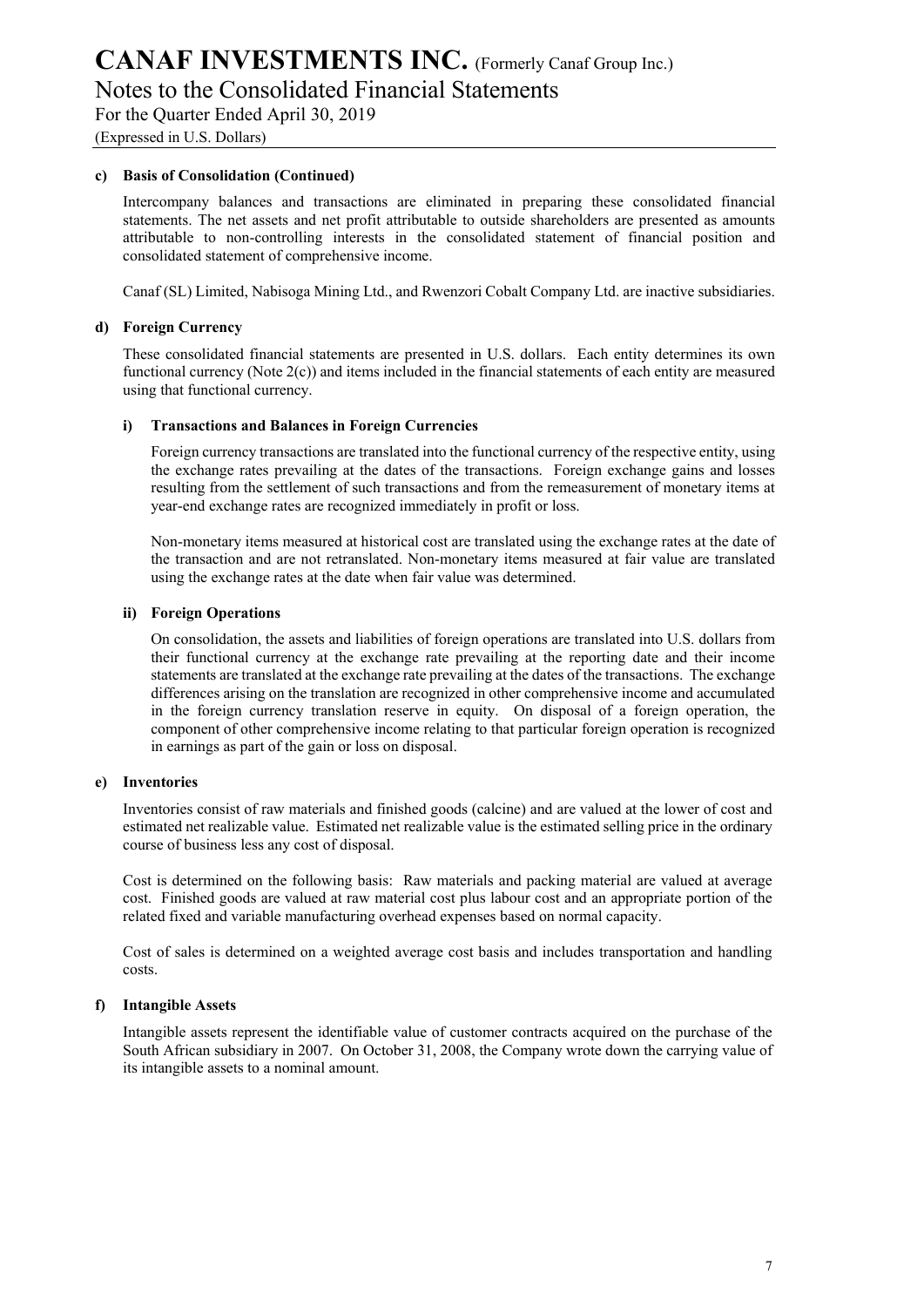Notes to the Consolidated Financial Statements

For the Quarter Ended April 30, 2019

(Expressed in U.S. Dollars)

#### **c) Basis of Consolidation (Continued)**

Intercompany balances and transactions are eliminated in preparing these consolidated financial statements. The net assets and net profit attributable to outside shareholders are presented as amounts attributable to non-controlling interests in the consolidated statement of financial position and consolidated statement of comprehensive income.

Canaf (SL) Limited, Nabisoga Mining Ltd., and Rwenzori Cobalt Company Ltd. are inactive subsidiaries.

#### **d) Foreign Currency**

These consolidated financial statements are presented in U.S. dollars. Each entity determines its own functional currency (Note 2(c)) and items included in the financial statements of each entity are measured using that functional currency.

#### **i) Transactions and Balances in Foreign Currencies**

Foreign currency transactions are translated into the functional currency of the respective entity, using the exchange rates prevailing at the dates of the transactions. Foreign exchange gains and losses resulting from the settlement of such transactions and from the remeasurement of monetary items at year-end exchange rates are recognized immediately in profit or loss.

Non-monetary items measured at historical cost are translated using the exchange rates at the date of the transaction and are not retranslated. Non-monetary items measured at fair value are translated using the exchange rates at the date when fair value was determined.

#### **ii) Foreign Operations**

On consolidation, the assets and liabilities of foreign operations are translated into U.S. dollars from their functional currency at the exchange rate prevailing at the reporting date and their income statements are translated at the exchange rate prevailing at the dates of the transactions. The exchange differences arising on the translation are recognized in other comprehensive income and accumulated in the foreign currency translation reserve in equity. On disposal of a foreign operation, the component of other comprehensive income relating to that particular foreign operation is recognized in earnings as part of the gain or loss on disposal.

#### **e) Inventories**

Inventories consist of raw materials and finished goods (calcine) and are valued at the lower of cost and estimated net realizable value. Estimated net realizable value is the estimated selling price in the ordinary course of business less any cost of disposal.

Cost is determined on the following basis: Raw materials and packing material are valued at average cost. Finished goods are valued at raw material cost plus labour cost and an appropriate portion of the related fixed and variable manufacturing overhead expenses based on normal capacity.

Cost of sales is determined on a weighted average cost basis and includes transportation and handling costs.

#### **f) Intangible Assets**

Intangible assets represent the identifiable value of customer contracts acquired on the purchase of the South African subsidiary in 2007. On October 31, 2008, the Company wrote down the carrying value of its intangible assets to a nominal amount.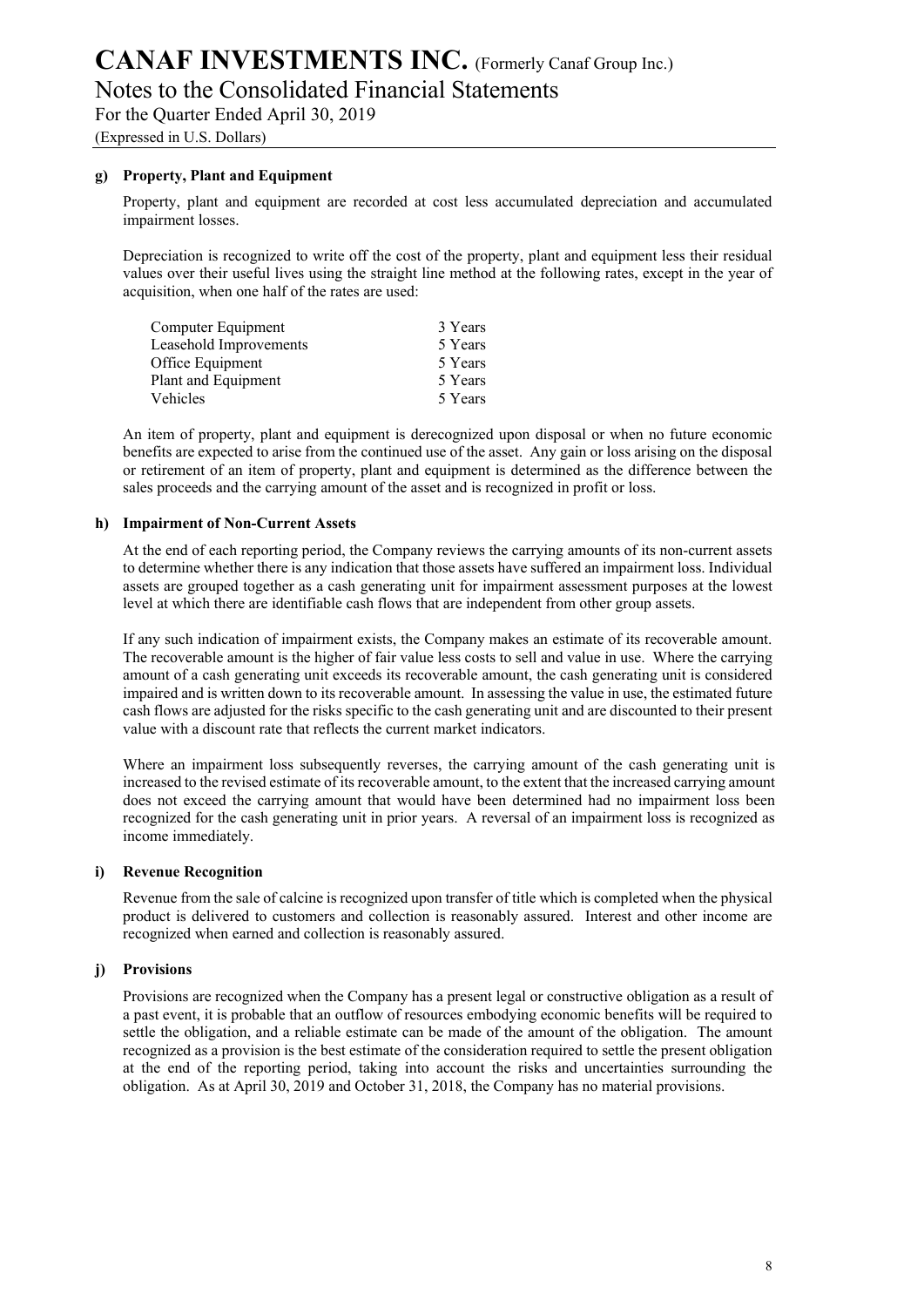Notes to the Consolidated Financial Statements

For the Quarter Ended April 30, 2019

(Expressed in U.S. Dollars)

#### **g) Property, Plant and Equipment**

Property, plant and equipment are recorded at cost less accumulated depreciation and accumulated impairment losses.

Depreciation is recognized to write off the cost of the property, plant and equipment less their residual values over their useful lives using the straight line method at the following rates, except in the year of acquisition, when one half of the rates are used:

| Computer Equipment     | 3 Years |
|------------------------|---------|
| Leasehold Improvements | 5 Years |
| Office Equipment       | 5 Years |
| Plant and Equipment    | 5 Years |
| Vehicles               | 5 Years |
|                        |         |

An item of property, plant and equipment is derecognized upon disposal or when no future economic benefits are expected to arise from the continued use of the asset. Any gain or loss arising on the disposal or retirement of an item of property, plant and equipment is determined as the difference between the sales proceeds and the carrying amount of the asset and is recognized in profit or loss.

#### **h) Impairment of Non-Current Assets**

At the end of each reporting period, the Company reviews the carrying amounts of its non-current assets to determine whether there is any indication that those assets have suffered an impairment loss. Individual assets are grouped together as a cash generating unit for impairment assessment purposes at the lowest level at which there are identifiable cash flows that are independent from other group assets.

If any such indication of impairment exists, the Company makes an estimate of its recoverable amount. The recoverable amount is the higher of fair value less costs to sell and value in use. Where the carrying amount of a cash generating unit exceeds its recoverable amount, the cash generating unit is considered impaired and is written down to its recoverable amount. In assessing the value in use, the estimated future cash flows are adjusted for the risks specific to the cash generating unit and are discounted to their present value with a discount rate that reflects the current market indicators.

Where an impairment loss subsequently reverses, the carrying amount of the cash generating unit is increased to the revised estimate of its recoverable amount, to the extent that the increased carrying amount does not exceed the carrying amount that would have been determined had no impairment loss been recognized for the cash generating unit in prior years. A reversal of an impairment loss is recognized as income immediately.

#### **i) Revenue Recognition**

Revenue from the sale of calcine is recognized upon transfer of title which is completed when the physical product is delivered to customers and collection is reasonably assured. Interest and other income are recognized when earned and collection is reasonably assured.

#### **j) Provisions**

Provisions are recognized when the Company has a present legal or constructive obligation as a result of a past event, it is probable that an outflow of resources embodying economic benefits will be required to settle the obligation, and a reliable estimate can be made of the amount of the obligation. The amount recognized as a provision is the best estimate of the consideration required to settle the present obligation at the end of the reporting period, taking into account the risks and uncertainties surrounding the obligation. As at April 30, 2019 and October 31, 2018, the Company has no material provisions.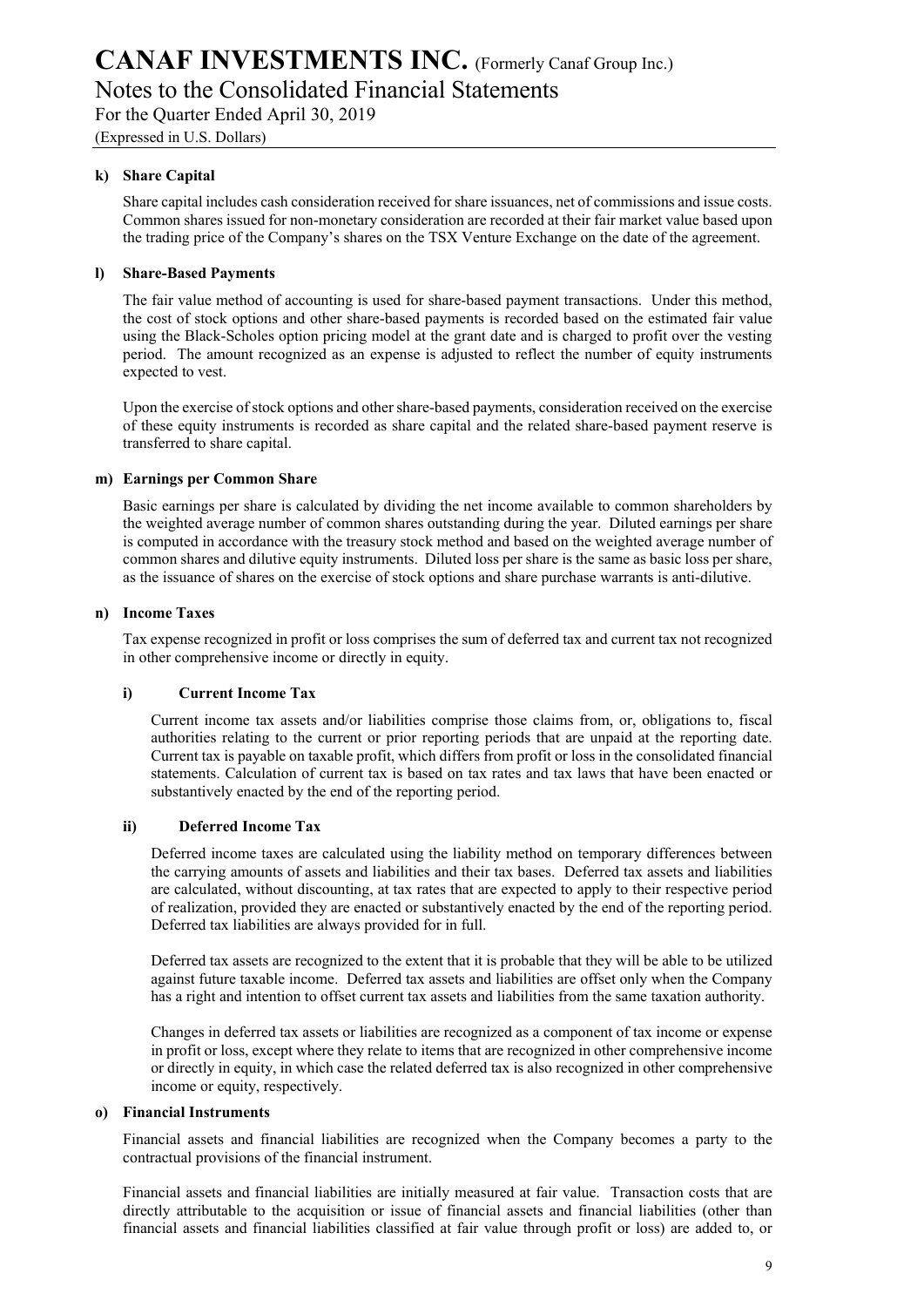Notes to the Consolidated Financial Statements

For the Quarter Ended April 30, 2019

(Expressed in U.S. Dollars)

#### **k) Share Capital**

Share capital includes cash consideration received for share issuances, net of commissions and issue costs. Common shares issued for non-monetary consideration are recorded at their fair market value based upon the trading price of the Company's shares on the TSX Venture Exchange on the date of the agreement.

#### **l) Share-Based Payments**

The fair value method of accounting is used for share-based payment transactions. Under this method, the cost of stock options and other share-based payments is recorded based on the estimated fair value using the Black-Scholes option pricing model at the grant date and is charged to profit over the vesting period. The amount recognized as an expense is adjusted to reflect the number of equity instruments expected to vest.

Upon the exercise of stock options and other share-based payments, consideration received on the exercise of these equity instruments is recorded as share capital and the related share-based payment reserve is transferred to share capital.

#### **m) Earnings per Common Share**

Basic earnings per share is calculated by dividing the net income available to common shareholders by the weighted average number of common shares outstanding during the year. Diluted earnings per share is computed in accordance with the treasury stock method and based on the weighted average number of common shares and dilutive equity instruments. Diluted loss per share is the same as basic loss per share, as the issuance of shares on the exercise of stock options and share purchase warrants is anti-dilutive.

#### **n) Income Taxes**

Tax expense recognized in profit or loss comprises the sum of deferred tax and current tax not recognized in other comprehensive income or directly in equity.

#### **i) Current Income Tax**

Current income tax assets and/or liabilities comprise those claims from, or, obligations to, fiscal authorities relating to the current or prior reporting periods that are unpaid at the reporting date. Current tax is payable on taxable profit, which differs from profit or loss in the consolidated financial statements. Calculation of current tax is based on tax rates and tax laws that have been enacted or substantively enacted by the end of the reporting period.

#### **ii) Deferred Income Tax**

Deferred income taxes are calculated using the liability method on temporary differences between the carrying amounts of assets and liabilities and their tax bases. Deferred tax assets and liabilities are calculated, without discounting, at tax rates that are expected to apply to their respective period of realization, provided they are enacted or substantively enacted by the end of the reporting period. Deferred tax liabilities are always provided for in full.

Deferred tax assets are recognized to the extent that it is probable that they will be able to be utilized against future taxable income. Deferred tax assets and liabilities are offset only when the Company has a right and intention to offset current tax assets and liabilities from the same taxation authority.

Changes in deferred tax assets or liabilities are recognized as a component of tax income or expense in profit or loss, except where they relate to items that are recognized in other comprehensive income or directly in equity, in which case the related deferred tax is also recognized in other comprehensive income or equity, respectively.

#### **o) Financial Instruments**

Financial assets and financial liabilities are recognized when the Company becomes a party to the contractual provisions of the financial instrument.

Financial assets and financial liabilities are initially measured at fair value. Transaction costs that are directly attributable to the acquisition or issue of financial assets and financial liabilities (other than financial assets and financial liabilities classified at fair value through profit or loss) are added to, or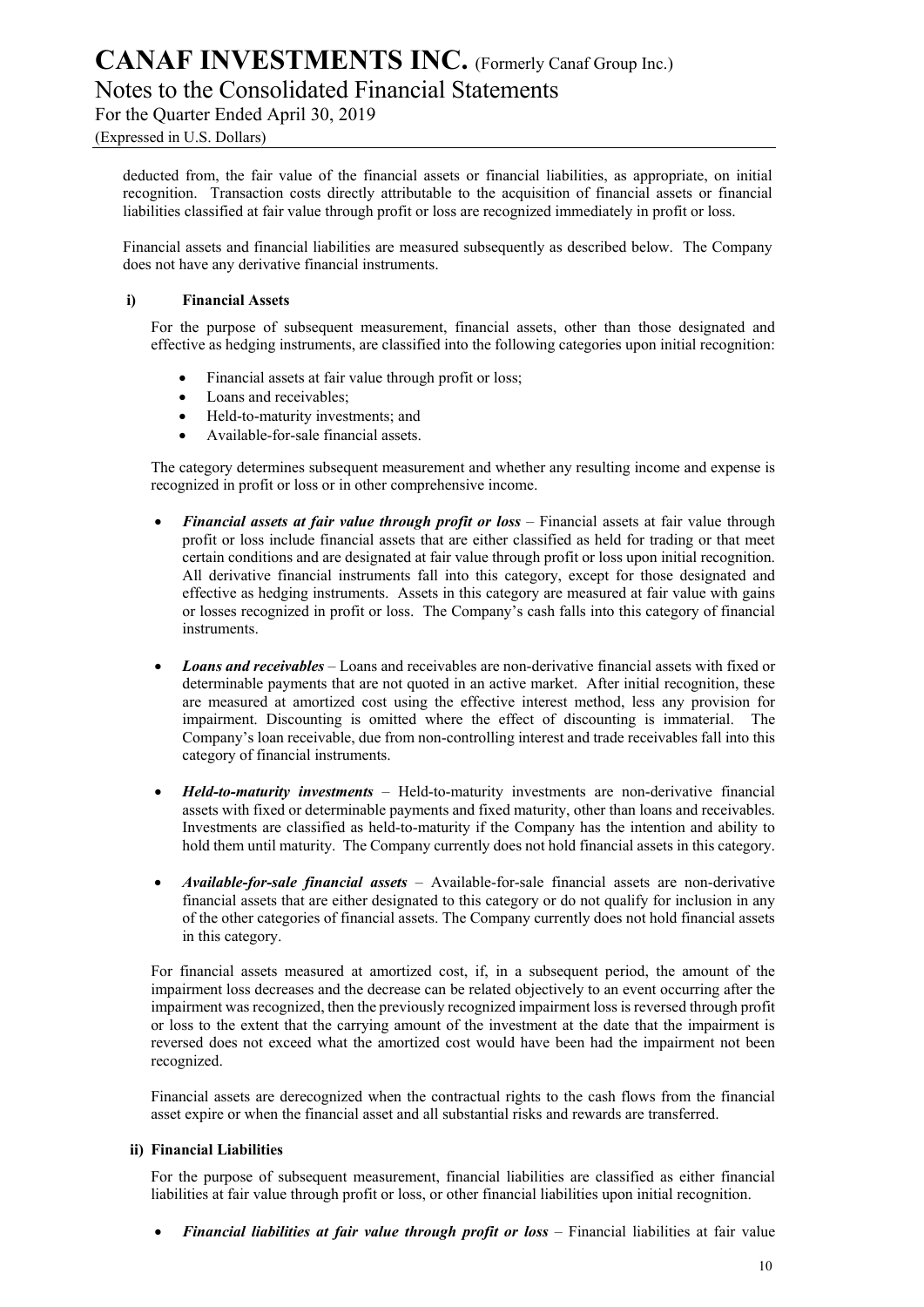Notes to the Consolidated Financial Statements

For the Quarter Ended April 30, 2019

deducted from, the fair value of the financial assets or financial liabilities, as appropriate, on initial recognition. Transaction costs directly attributable to the acquisition of financial assets or financial liabilities classified at fair value through profit or loss are recognized immediately in profit or loss.

Financial assets and financial liabilities are measured subsequently as described below. The Company does not have any derivative financial instruments.

#### **i) Financial Assets**

For the purpose of subsequent measurement, financial assets, other than those designated and effective as hedging instruments, are classified into the following categories upon initial recognition:

- Financial assets at fair value through profit or loss;
- Loans and receivables;
- Held-to-maturity investments; and
- Available-for-sale financial assets.

The category determines subsequent measurement and whether any resulting income and expense is recognized in profit or loss or in other comprehensive income.

- *Financial assets at fair value through profit or loss* Financial assets at fair value through profit or loss include financial assets that are either classified as held for trading or that meet certain conditions and are designated at fair value through profit or loss upon initial recognition. All derivative financial instruments fall into this category, except for those designated and effective as hedging instruments. Assets in this category are measured at fair value with gains or losses recognized in profit or loss. The Company's cash falls into this category of financial instruments.
- *Loans and receivables* Loans and receivables are non-derivative financial assets with fixed or determinable payments that are not quoted in an active market. After initial recognition, these are measured at amortized cost using the effective interest method, less any provision for impairment. Discounting is omitted where the effect of discounting is immaterial. The Company's loan receivable, due from non-controlling interest and trade receivables fall into this category of financial instruments.
- *Held-to-maturity investments* Held-to-maturity investments are non-derivative financial assets with fixed or determinable payments and fixed maturity, other than loans and receivables. Investments are classified as held-to-maturity if the Company has the intention and ability to hold them until maturity. The Company currently does not hold financial assets in this category.
- *Available-for-sale financial assets* Available-for-sale financial assets are non-derivative financial assets that are either designated to this category or do not qualify for inclusion in any of the other categories of financial assets. The Company currently does not hold financial assets in this category.

For financial assets measured at amortized cost, if, in a subsequent period, the amount of the impairment loss decreases and the decrease can be related objectively to an event occurring after the impairment was recognized, then the previously recognized impairment loss is reversed through profit or loss to the extent that the carrying amount of the investment at the date that the impairment is reversed does not exceed what the amortized cost would have been had the impairment not been recognized.

Financial assets are derecognized when the contractual rights to the cash flows from the financial asset expire or when the financial asset and all substantial risks and rewards are transferred.

#### **ii) Financial Liabilities**

For the purpose of subsequent measurement, financial liabilities are classified as either financial liabilities at fair value through profit or loss, or other financial liabilities upon initial recognition.

• *Financial liabilities at fair value through profit or loss* – Financial liabilities at fair value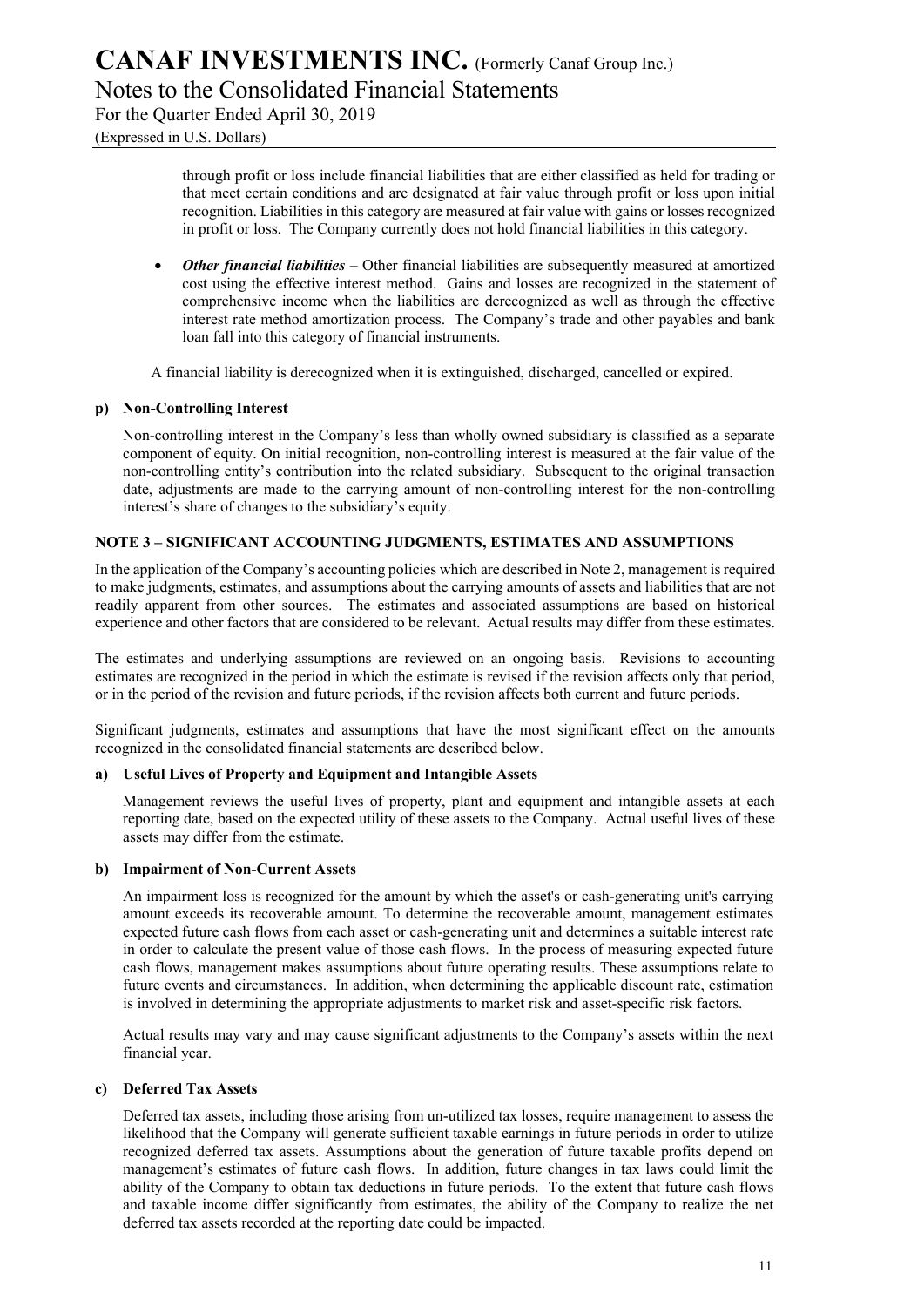Notes to the Consolidated Financial Statements

For the Quarter Ended April 30, 2019

(Expressed in U.S. Dollars)

through profit or loss include financial liabilities that are either classified as held for trading or that meet certain conditions and are designated at fair value through profit or loss upon initial recognition. Liabilities in this category are measured at fair value with gains or losses recognized in profit or loss. The Company currently does not hold financial liabilities in this category.

• *Other financial liabilities* – Other financial liabilities are subsequently measured at amortized cost using the effective interest method. Gains and losses are recognized in the statement of comprehensive income when the liabilities are derecognized as well as through the effective interest rate method amortization process. The Company's trade and other payables and bank loan fall into this category of financial instruments.

A financial liability is derecognized when it is extinguished, discharged, cancelled or expired.

#### **p) Non-Controlling Interest**

Non-controlling interest in the Company's less than wholly owned subsidiary is classified as a separate component of equity. On initial recognition, non-controlling interest is measured at the fair value of the non-controlling entity's contribution into the related subsidiary. Subsequent to the original transaction date, adjustments are made to the carrying amount of non-controlling interest for the non-controlling interest's share of changes to the subsidiary's equity.

#### **NOTE 3 – SIGNIFICANT ACCOUNTING JUDGMENTS, ESTIMATES AND ASSUMPTIONS**

In the application of the Company's accounting policies which are described in Note 2, management is required to make judgments, estimates, and assumptions about the carrying amounts of assets and liabilities that are not readily apparent from other sources. The estimates and associated assumptions are based on historical experience and other factors that are considered to be relevant. Actual results may differ from these estimates.

The estimates and underlying assumptions are reviewed on an ongoing basis. Revisions to accounting estimates are recognized in the period in which the estimate is revised if the revision affects only that period, or in the period of the revision and future periods, if the revision affects both current and future periods.

Significant judgments, estimates and assumptions that have the most significant effect on the amounts recognized in the consolidated financial statements are described below.

#### **a) Useful Lives of Property and Equipment and Intangible Assets**

Management reviews the useful lives of property, plant and equipment and intangible assets at each reporting date, based on the expected utility of these assets to the Company. Actual useful lives of these assets may differ from the estimate.

#### **b) Impairment of Non-Current Assets**

An impairment loss is recognized for the amount by which the asset's or cash-generating unit's carrying amount exceeds its recoverable amount. To determine the recoverable amount, management estimates expected future cash flows from each asset or cash-generating unit and determines a suitable interest rate in order to calculate the present value of those cash flows. In the process of measuring expected future cash flows, management makes assumptions about future operating results. These assumptions relate to future events and circumstances. In addition, when determining the applicable discount rate, estimation is involved in determining the appropriate adjustments to market risk and asset-specific risk factors.

Actual results may vary and may cause significant adjustments to the Company's assets within the next financial year.

#### **c) Deferred Tax Assets**

Deferred tax assets, including those arising from un-utilized tax losses, require management to assess the likelihood that the Company will generate sufficient taxable earnings in future periods in order to utilize recognized deferred tax assets. Assumptions about the generation of future taxable profits depend on management's estimates of future cash flows. In addition, future changes in tax laws could limit the ability of the Company to obtain tax deductions in future periods. To the extent that future cash flows and taxable income differ significantly from estimates, the ability of the Company to realize the net deferred tax assets recorded at the reporting date could be impacted.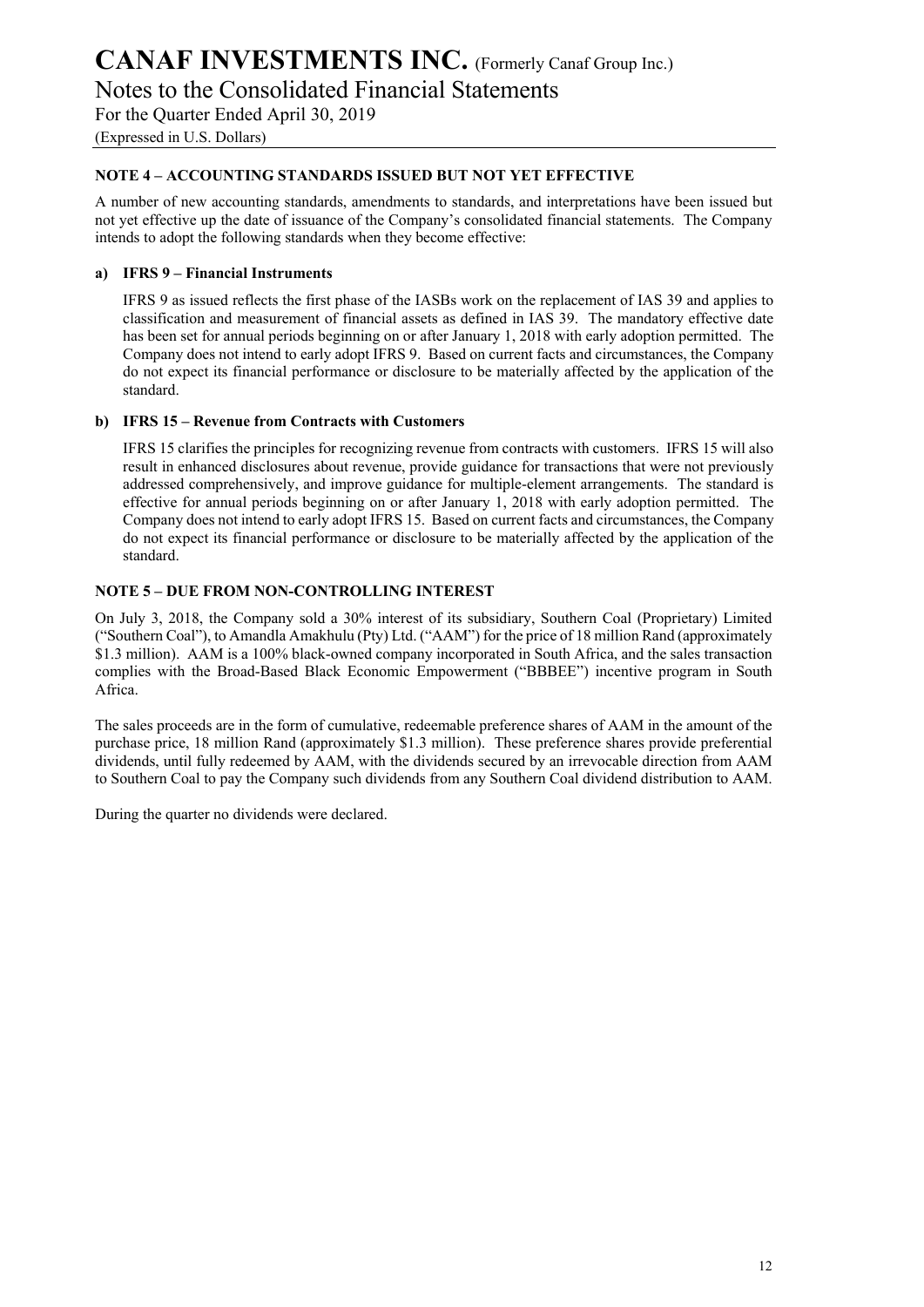Notes to the Consolidated Financial Statements

For the Quarter Ended April 30, 2019

(Expressed in U.S. Dollars)

#### **NOTE 4 – ACCOUNTING STANDARDS ISSUED BUT NOT YET EFFECTIVE**

A number of new accounting standards, amendments to standards, and interpretations have been issued but not yet effective up the date of issuance of the Company's consolidated financial statements. The Company intends to adopt the following standards when they become effective:

#### **a) IFRS 9 – Financial Instruments**

IFRS 9 as issued reflects the first phase of the IASBs work on the replacement of IAS 39 and applies to classification and measurement of financial assets as defined in IAS 39. The mandatory effective date has been set for annual periods beginning on or after January 1, 2018 with early adoption permitted. The Company does not intend to early adopt IFRS 9. Based on current facts and circumstances, the Company do not expect its financial performance or disclosure to be materially affected by the application of the standard.

#### **b) IFRS 15 – Revenue from Contracts with Customers**

IFRS 15 clarifies the principles for recognizing revenue from contracts with customers. IFRS 15 will also result in enhanced disclosures about revenue, provide guidance for transactions that were not previously addressed comprehensively, and improve guidance for multiple-element arrangements. The standard is effective for annual periods beginning on or after January 1, 2018 with early adoption permitted. The Company does not intend to early adopt IFRS 15. Based on current facts and circumstances, the Company do not expect its financial performance or disclosure to be materially affected by the application of the standard.

#### **NOTE 5 – DUE FROM NON-CONTROLLING INTEREST**

On July 3, 2018, the Company sold a 30% interest of its subsidiary, Southern Coal (Proprietary) Limited ("Southern Coal"), to Amandla Amakhulu (Pty) Ltd. ("AAM") for the price of 18 million Rand (approximately \$1.3 million). AAM is a 100% black-owned company incorporated in South Africa, and the sales transaction complies with the Broad-Based Black Economic Empowerment ("BBBEE") incentive program in South Africa.

The sales proceeds are in the form of cumulative, redeemable preference shares of AAM in the amount of the purchase price, 18 million Rand (approximately \$1.3 million). These preference shares provide preferential dividends, until fully redeemed by AAM, with the dividends secured by an irrevocable direction from AAM to Southern Coal to pay the Company such dividends from any Southern Coal dividend distribution to AAM.

During the quarter no dividends were declared.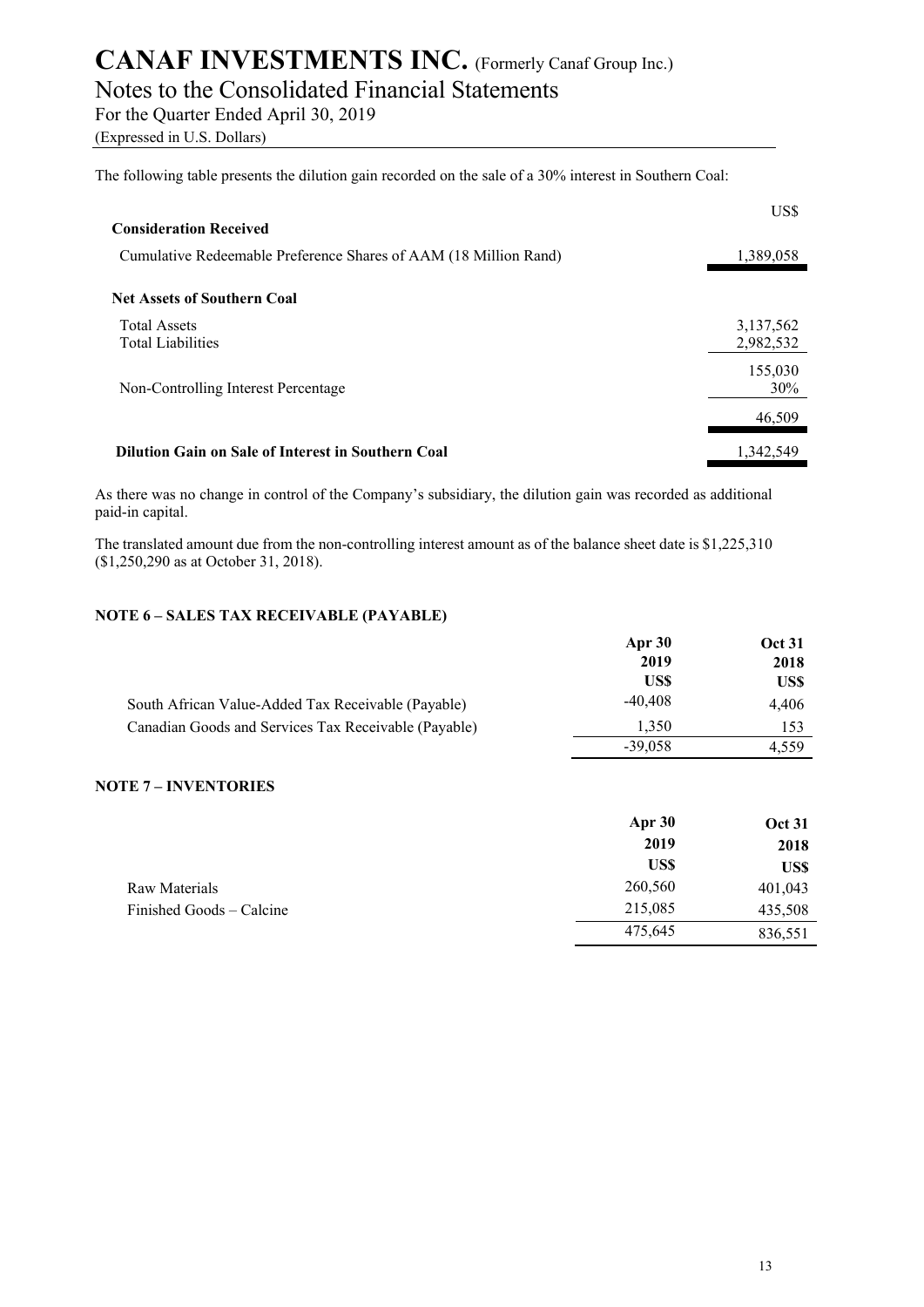## Notes to the Consolidated Financial Statements

For the Quarter Ended April 30, 2019

(Expressed in U.S. Dollars)

The following table presents the dilution gain recorded on the sale of a 30% interest in Southern Coal:

|                                                                  | US\$      |
|------------------------------------------------------------------|-----------|
| <b>Consideration Received</b>                                    |           |
| Cumulative Redeemable Preference Shares of AAM (18 Million Rand) | 1,389,058 |
| <b>Net Assets of Southern Coal</b>                               |           |
| <b>Total Assets</b>                                              | 3,137,562 |
| <b>Total Liabilities</b>                                         | 2,982,532 |
|                                                                  | 155,030   |
| Non-Controlling Interest Percentage                              | 30%       |
|                                                                  | 46,509    |
| Dilution Gain on Sale of Interest in Southern Coal               | 1.342.549 |

As there was no change in control of the Company's subsidiary, the dilution gain was recorded as additional paid-in capital.

The translated amount due from the non-controlling interest amount as of the balance sheet date is \$1,225,310 (\$1,250,290 as at October 31, 2018).

#### **NOTE 6 – SALES TAX RECEIVABLE (PAYABLE)**

|                                                      | Apr 30    | <b>Oct 31</b> |
|------------------------------------------------------|-----------|---------------|
|                                                      | 2019      | 2018          |
|                                                      | US\$      | US\$          |
| South African Value-Added Tax Receivable (Payable)   | $-40,408$ | 4,406         |
| Canadian Goods and Services Tax Receivable (Payable) | 1.350     | 153           |
|                                                      | $-39.058$ | 4.559         |

#### **NOTE 7 – INVENTORIES**

|                          | Apr 30  | <b>Oct 31</b> |
|--------------------------|---------|---------------|
|                          | 2019    | 2018          |
|                          | US\$    | US\$          |
| Raw Materials            | 260,560 | 401,043       |
| Finished Goods – Calcine | 215,085 | 435,508       |
|                          | 475,645 | 836,551       |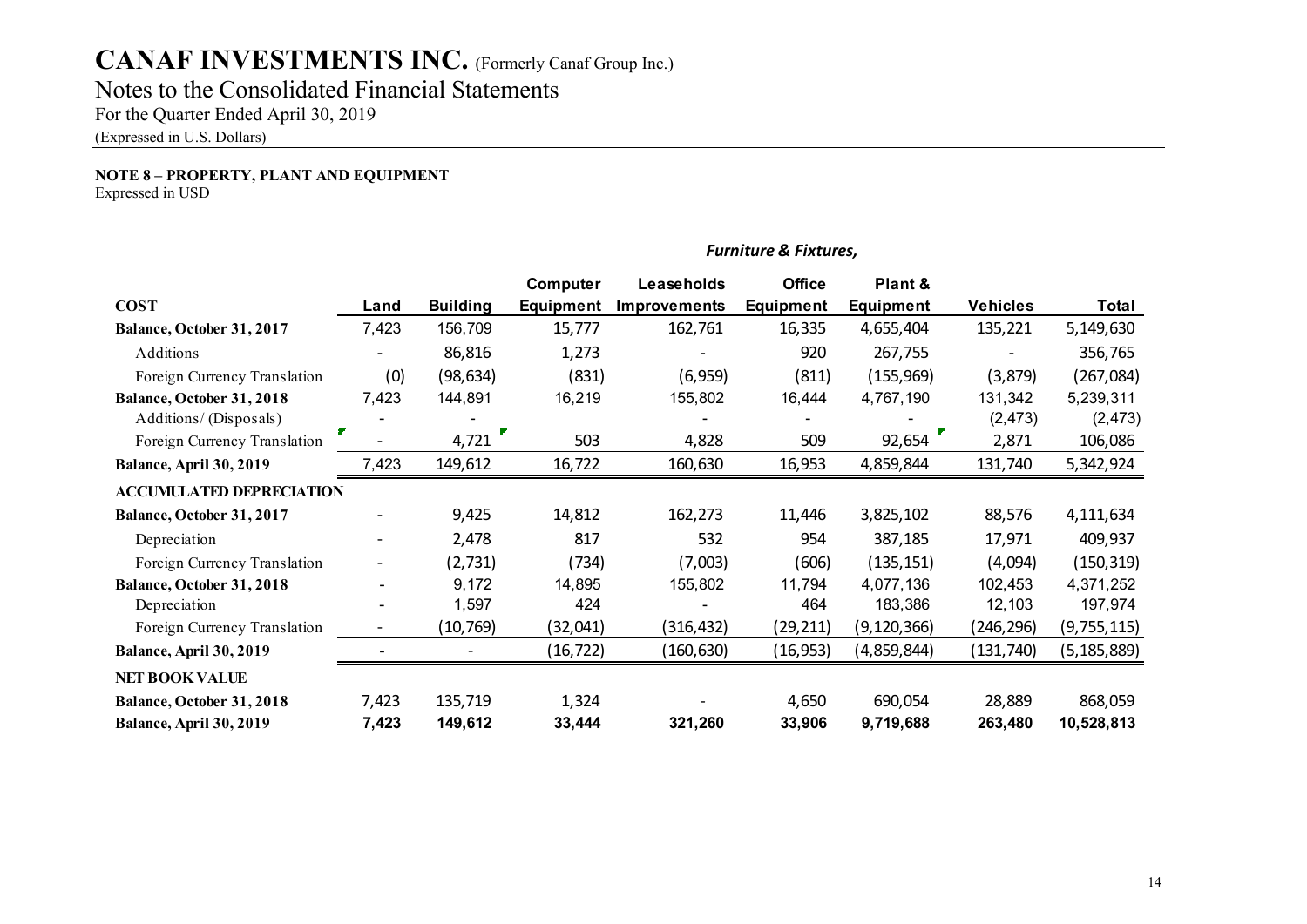# **CANAF INVESTMENTS INC.** (Formerly Canaf Group Inc.) Notes to the Consolidated Financial Statements

For the Quarter Ended April 30, 2019

(Expressed in U.S. Dollars)

### **NOTE 8 – PROPERTY, PLANT AND EQUIPMENT**

Expressed in USD

|                                 |       |                 | Computer         | Leaseholds          | <b>Office</b>    | Plant &          |                 |               |
|---------------------------------|-------|-----------------|------------------|---------------------|------------------|------------------|-----------------|---------------|
| <b>COST</b>                     | Land  | <b>Building</b> | <b>Equipment</b> | <b>Improvements</b> | <b>Equipment</b> | <b>Equipment</b> | <b>Vehicles</b> | Total         |
| Balance, October 31, 2017       | 7,423 | 156,709         | 15,777           | 162,761             | 16,335           | 4,655,404        | 135,221         | 5,149,630     |
| Additions                       |       | 86,816          | 1,273            |                     | 920              | 267,755          |                 | 356,765       |
| Foreign Currency Translation    | (0)   | (98, 634)       | (831)            | (6,959)             | (811)            | (155, 969)       | (3,879)         | (267, 084)    |
| Balance, October 31, 2018       | 7,423 | 144,891         | 16,219           | 155,802             | 16,444           | 4,767,190        | 131,342         | 5,239,311     |
| Additions/ (Disposals)          |       |                 |                  |                     |                  |                  | (2, 473)        | (2, 473)      |
| Foreign Currency Translation    |       | 4,721           | 503              | 4,828               | 509              | 92,654           | 2,871           | 106,086       |
| Balance, April 30, 2019         | 7,423 | 149,612         | 16,722           | 160,630             | 16,953           | 4,859,844        | 131,740         | 5,342,924     |
| <b>ACCUMULATED DEPRECIATION</b> |       |                 |                  |                     |                  |                  |                 |               |
| Balance, October 31, 2017       |       | 9,425           | 14,812           | 162,273             | 11,446           | 3,825,102        | 88,576          | 4,111,634     |
| Depreciation                    |       | 2,478           | 817              | 532                 | 954              | 387,185          | 17,971          | 409,937       |
| Foreign Currency Translation    |       | (2, 731)        | (734)            | (7,003)             | (606)            | (135, 151)       | (4,094)         | (150, 319)    |
| Balance, October 31, 2018       |       | 9,172           | 14,895           | 155,802             | 11,794           | 4,077,136        | 102,453         | 4,371,252     |
| Depreciation                    |       | 1,597           | 424              |                     | 464              | 183,386          | 12,103          | 197,974       |
| Foreign Currency Translation    |       | (10, 769)       | (32,041)         | (316,432)           | (29,211)         | (9, 120, 366)    | (246,296)       | (9,755,115)   |
| Balance, April 30, 2019         |       |                 | (16, 722)        | (160, 630)          | (16, 953)        | (4,859,844)      | (131, 740)      | (5, 185, 889) |
| <b>NET BOOK VALUE</b>           |       |                 |                  |                     |                  |                  |                 |               |
| Balance, October 31, 2018       | 7,423 | 135,719         | 1,324            |                     | 4,650            | 690,054          | 28,889          | 868,059       |
| Balance, April 30, 2019         | 7,423 | 149,612         | 33,444           | 321,260             | 33,906           | 9,719,688        | 263,480         | 10,528,813    |

#### *Furniture & Fixtures,*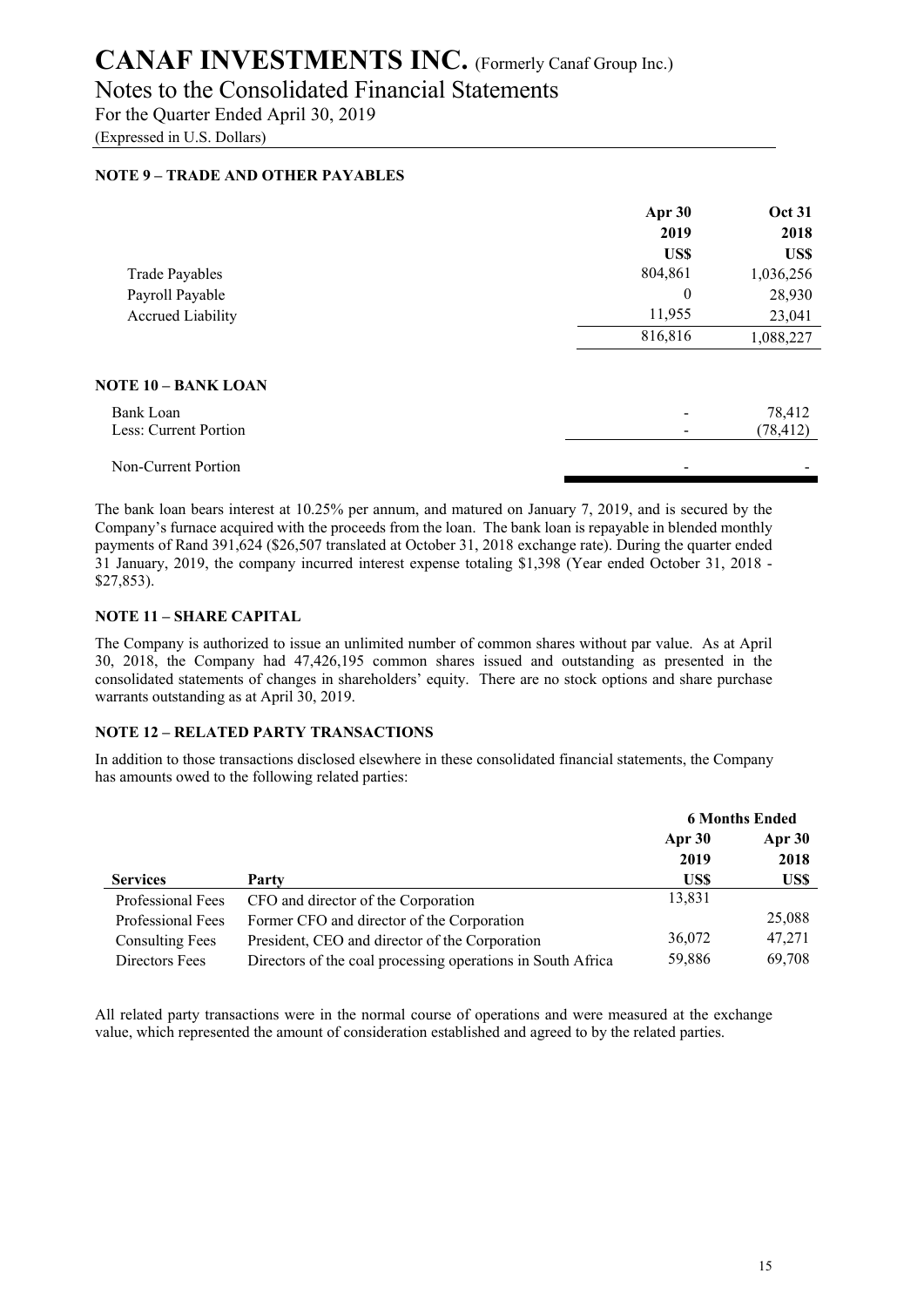### Notes to the Consolidated Financial Statements

For the Quarter Ended April 30, 2019 (Expressed in U.S. Dollars)

#### **NOTE 9 – TRADE AND OTHER PAYABLES**

|                       | Apr 30   | <b>Oct 31</b> |
|-----------------------|----------|---------------|
|                       | 2019     | 2018          |
|                       | US\$     | US\$          |
| <b>Trade Payables</b> | 804,861  | 1,036,256     |
| Payroll Payable       | $\theta$ | 28,930        |
| Accrued Liability     | 11,955   | 23,041        |
|                       | 816,816  | 1,088,227     |
| NOTE 10 – BANK LOAN   |          |               |
| Bank Loan             |          | 78,412        |
| Less: Current Portion |          | (78, 412)     |
| Non-Current Portion   |          |               |

The bank loan bears interest at 10.25% per annum, and matured on January 7, 2019, and is secured by the Company's furnace acquired with the proceeds from the loan. The bank loan is repayable in blended monthly payments of Rand 391,624 (\$26,507 translated at October 31, 2018 exchange rate). During the quarter ended 31 January, 2019, the company incurred interest expense totaling \$1,398 (Year ended October 31, 2018 - \$27,853).

#### **NOTE 11 – SHARE CAPITAL**

The Company is authorized to issue an unlimited number of common shares without par value. As at April 30, 2018, the Company had 47,426,195 common shares issued and outstanding as presented in the consolidated statements of changes in shareholders' equity. There are no stock options and share purchase warrants outstanding as at April 30, 2019.

#### **NOTE 12 – RELATED PARTY TRANSACTIONS**

In addition to those transactions disclosed elsewhere in these consolidated financial statements, the Company has amounts owed to the following related parties:

|                        |                                                             | <b>6 Months Ended</b> |        |
|------------------------|-------------------------------------------------------------|-----------------------|--------|
|                        |                                                             | Apr 30                | Apr 30 |
|                        |                                                             | 2019                  | 2018   |
| <b>Services</b>        | Party                                                       | US\$                  | US\$   |
| Professional Fees      | CFO and director of the Corporation                         | 13,831                |        |
| Professional Fees      | Former CFO and director of the Corporation                  |                       | 25,088 |
| <b>Consulting Fees</b> | President, CEO and director of the Corporation              | 36,072                | 47,271 |
| Directors Fees         | Directors of the coal processing operations in South Africa | 59,886                | 69,708 |

All related party transactions were in the normal course of operations and were measured at the exchange value, which represented the amount of consideration established and agreed to by the related parties.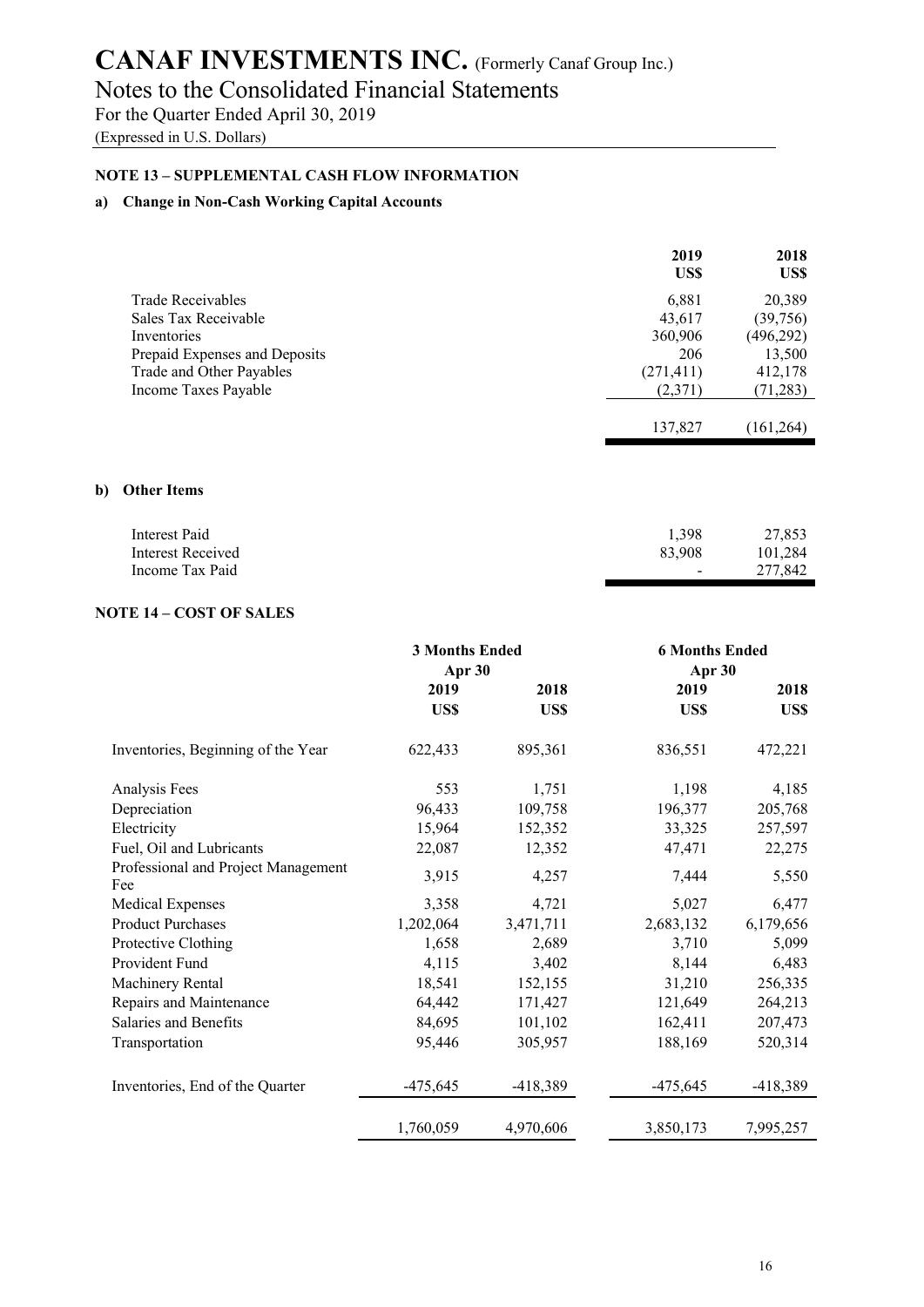## Notes to the Consolidated Financial Statements

For the Quarter Ended April 30, 2019

(Expressed in U.S. Dollars)

#### **NOTE 13 – SUPPLEMENTAL CASH FLOW INFORMATION**

#### **a) Change in Non-Cash Working Capital Accounts**

|                               | 2019<br>US\$ | 2018<br>US\$ |
|-------------------------------|--------------|--------------|
| Trade Receivables             | 6,881        | 20,389       |
| Sales Tax Receivable          | 43,617       | (39,756)     |
| Inventories                   | 360,906      | (496, 292)   |
| Prepaid Expenses and Deposits | 206          | 13,500       |
| Trade and Other Payables      | (271, 411)   | 412,178      |
| Income Taxes Payable          | (2,371)      | (71, 283)    |
|                               |              |              |
|                               | 137,827      | (161, 264)   |

#### **b) Other Items**

| Interest Paid     | 1.398  | 27,853  |
|-------------------|--------|---------|
| Interest Received | 83,908 | 101.284 |
| Income Tax Paid   | $\sim$ | 277,842 |

#### **NOTE 14 – COST OF SALES**

|                                            | <b>3 Months Ended</b><br>Apr 30 |            | <b>6 Months Ended</b><br>Apr 30 |            |
|--------------------------------------------|---------------------------------|------------|---------------------------------|------------|
|                                            | 2019                            | 2018       | 2019                            | 2018       |
|                                            | US\$                            | US\$       | US\$                            | US\$       |
| Inventories, Beginning of the Year         | 622,433                         | 895,361    | 836,551                         | 472,221    |
| Analysis Fees                              | 553                             | 1,751      | 1,198                           | 4,185      |
| Depreciation                               | 96,433                          | 109,758    | 196,377                         | 205,768    |
| Electricity                                | 15,964                          | 152,352    | 33,325                          | 257,597    |
| Fuel, Oil and Lubricants                   | 22,087                          | 12,352     | 47,471                          | 22,275     |
| Professional and Project Management<br>Fee | 3,915                           | 4,257      | 7,444                           | 5,550      |
| Medical Expenses                           | 3,358                           | 4,721      | 5,027                           | 6,477      |
| <b>Product Purchases</b>                   | 1,202,064                       | 3,471,711  | 2,683,132                       | 6,179,656  |
| Protective Clothing                        | 1,658                           | 2,689      | 3,710                           | 5,099      |
| Provident Fund                             | 4,115                           | 3,402      | 8,144                           | 6,483      |
| Machinery Rental                           | 18,541                          | 152,155    | 31,210                          | 256,335    |
| Repairs and Maintenance                    | 64,442                          | 171,427    | 121,649                         | 264,213    |
| Salaries and Benefits                      | 84,695                          | 101,102    | 162,411                         | 207,473    |
| Transportation                             | 95,446                          | 305,957    | 188,169                         | 520,314    |
| Inventories, End of the Quarter            | $-475,645$                      | $-418,389$ | $-475,645$                      | $-418,389$ |
|                                            | 1,760,059                       | 4,970,606  | 3,850,173                       | 7,995,257  |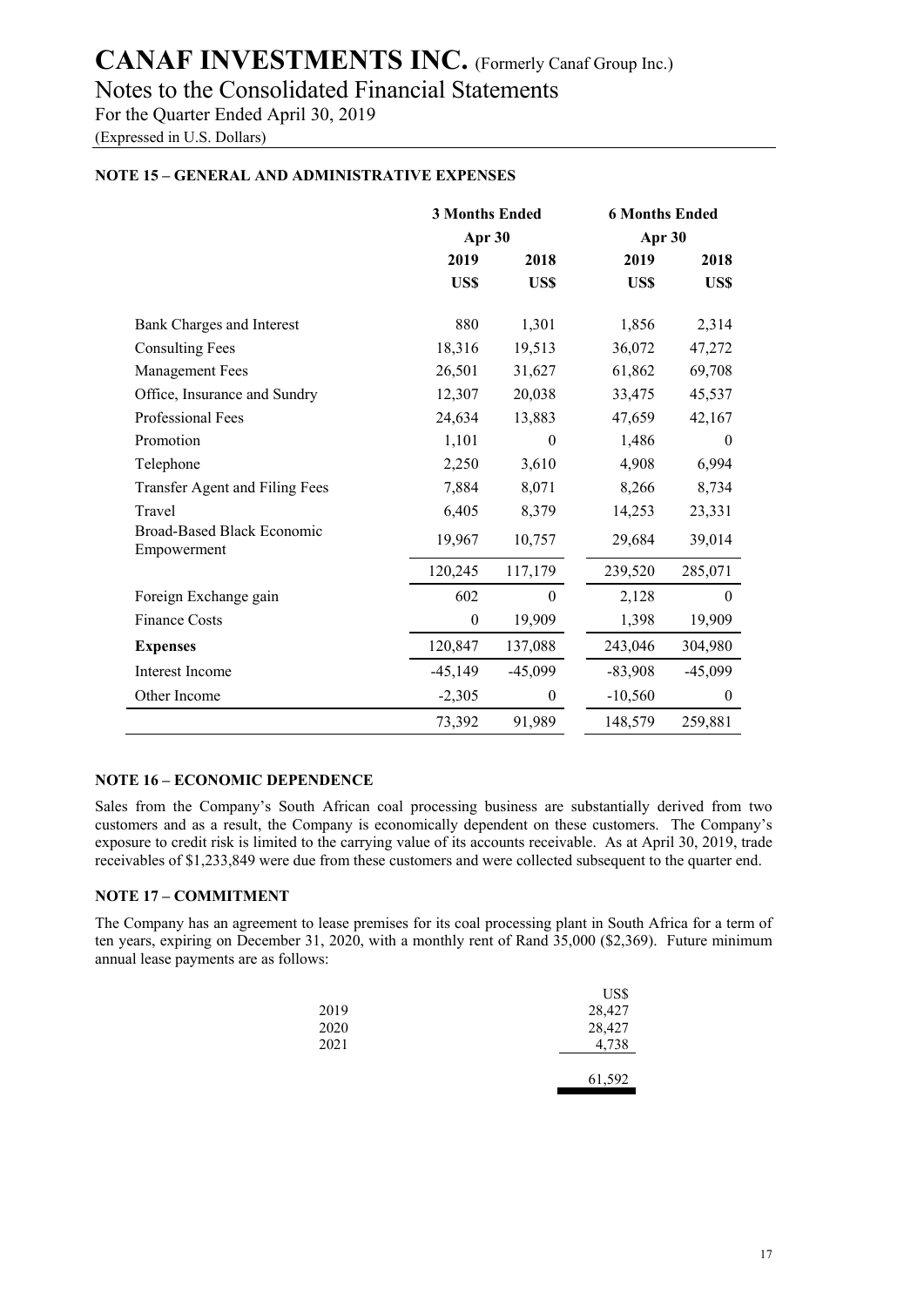Notes to the Consolidated Financial Statements

For the Quarter Ended April 30, 2019

(Expressed in U.S. Dollars)

#### **NOTE 15 – GENERAL AND ADMINISTRATIVE EXPENSES**

|                                           | <b>3 Months Ended</b><br>Apr 30 |                  | <b>6 Months Ended</b><br>Apr 30 |                  |
|-------------------------------------------|---------------------------------|------------------|---------------------------------|------------------|
|                                           |                                 |                  |                                 |                  |
|                                           | 2019                            | 2018             | 2019                            | 2018             |
|                                           | US\$                            | US\$             | US\$                            | US\$             |
| Bank Charges and Interest                 | 880                             | 1,301            | 1,856                           | 2,314            |
| <b>Consulting Fees</b>                    | 18,316                          | 19,513           | 36,072                          | 47,272           |
| <b>Management Fees</b>                    | 26,501                          | 31,627           | 61,862                          | 69,708           |
| Office, Insurance and Sundry              | 12,307                          | 20,038           | 33,475                          | 45,537           |
| Professional Fees                         | 24,634                          | 13,883           | 47,659                          | 42,167           |
| Promotion                                 | 1,101                           | $\theta$         | 1,486                           | $\theta$         |
| Telephone                                 | 2,250                           | 3,610            | 4,908                           | 6,994            |
| Transfer Agent and Filing Fees            | 7,884                           | 8,071            | 8,266                           | 8,734            |
| Travel                                    | 6,405                           | 8,379            | 14,253                          | 23,331           |
| Broad-Based Black Economic<br>Empowerment | 19,967                          | 10,757           | 29,684                          | 39,014           |
|                                           | 120,245                         | 117,179          | 239,520                         | 285,071          |
| Foreign Exchange gain                     | 602                             | $\boldsymbol{0}$ | 2,128                           | $\mathbf{0}$     |
| <b>Finance Costs</b>                      | $\mathbf{0}$                    | 19,909           | 1,398                           | 19,909           |
| <b>Expenses</b>                           | 120,847                         | 137,088          | 243,046                         | 304,980          |
| Interest Income                           | $-45,149$                       | $-45,099$        | $-83,908$                       | $-45,099$        |
| Other Income                              | $-2,305$                        | $\boldsymbol{0}$ | $-10,560$                       | $\boldsymbol{0}$ |
|                                           | 73,392                          | 91,989           | 148,579                         | 259,881          |

#### **NOTE 16 – ECONOMIC DEPENDENCE**

Sales from the Company's South African coal processing business are substantially derived from two customers and as a result, the Company is economically dependent on these customers. The Company's exposure to credit risk is limited to the carrying value of its accounts receivable. As at April 30, 2019, trade receivables of \$1,233,849 were due from these customers and were collected subsequent to the quarter end.

#### **NOTE 17 – COMMITMENT**

The Company has an agreement to lease premises for its coal processing plant in South Africa for a term of ten years, expiring on December 31, 2020, with a monthly rent of Rand 35,000 (\$2,369). Future minimum annual lease payments are as follows:

|      | US\$   |
|------|--------|
| 2019 | 28,427 |
| 2020 | 28,427 |
| 2021 | 4,738  |
|      |        |
|      | 61,592 |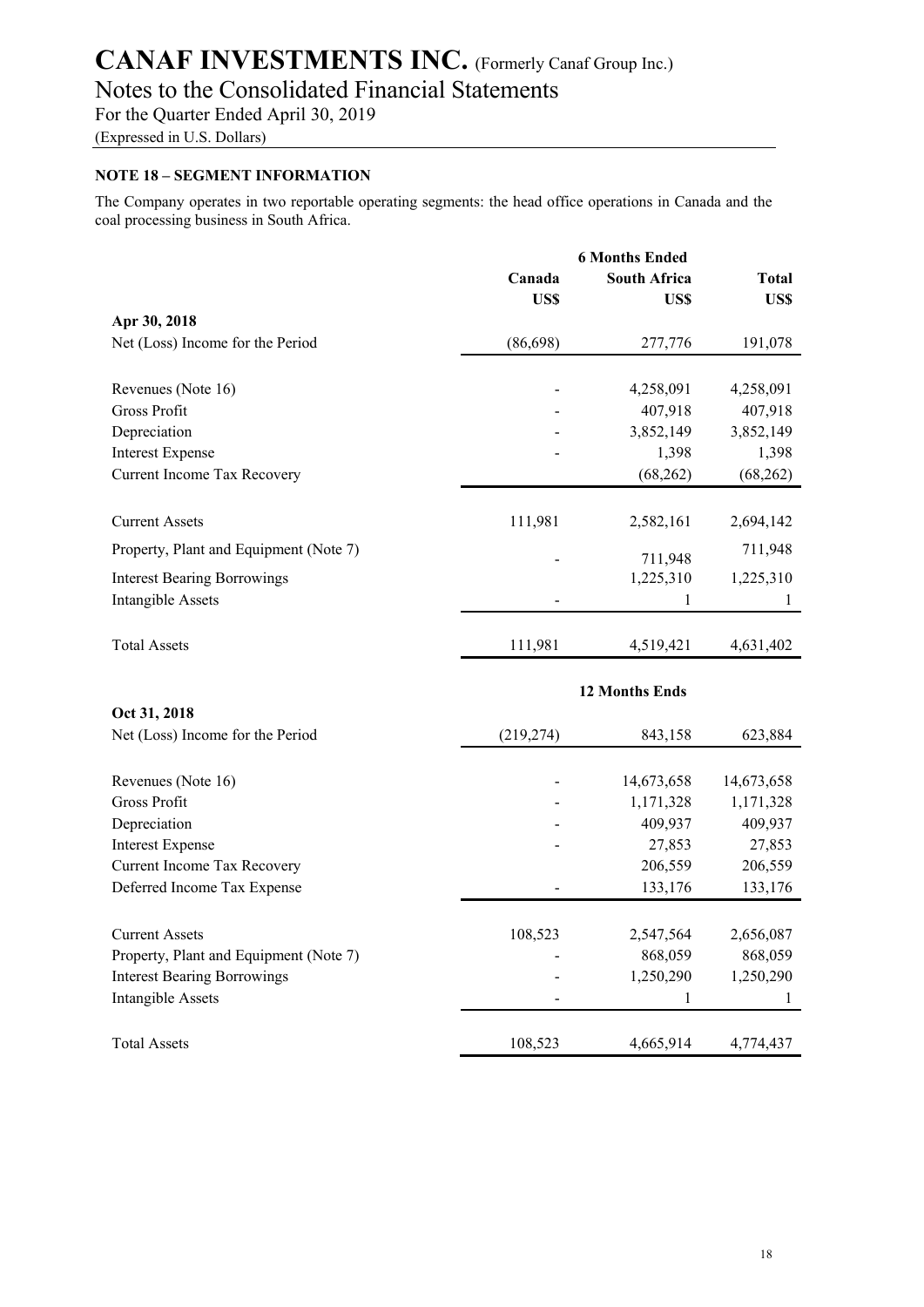Notes to the Consolidated Financial Statements

For the Quarter Ended April 30, 2019

(Expressed in U.S. Dollars)

#### **NOTE 18 – SEGMENT INFORMATION**

The Company operates in two reportable operating segments: the head office operations in Canada and the coal processing business in South Africa.

|                                        | <b>6 Months Ended</b> |                             |                      |
|----------------------------------------|-----------------------|-----------------------------|----------------------|
|                                        | Canada<br>US\$        | <b>South Africa</b><br>US\$ | <b>Total</b><br>US\$ |
| Apr 30, 2018                           |                       |                             |                      |
| Net (Loss) Income for the Period       | (86, 698)             | 277,776                     | 191,078              |
| Revenues (Note 16)                     |                       | 4,258,091                   | 4,258,091            |
| Gross Profit                           |                       | 407,918                     | 407,918              |
| Depreciation                           |                       | 3,852,149                   | 3,852,149            |
| <b>Interest Expense</b>                |                       | 1,398                       | 1,398                |
| Current Income Tax Recovery            |                       | (68, 262)                   | (68, 262)            |
| <b>Current Assets</b>                  | 111,981               | 2,582,161                   | 2,694,142            |
| Property, Plant and Equipment (Note 7) |                       | 711,948                     | 711,948              |
| <b>Interest Bearing Borrowings</b>     |                       | 1,225,310                   | 1,225,310            |
| Intangible Assets                      |                       |                             |                      |
| <b>Total Assets</b>                    | 111,981               | 4,519,421                   | 4,631,402            |

| <b>12 Months Ends</b>                  |            |            |            |
|----------------------------------------|------------|------------|------------|
| Oct 31, 2018                           |            |            |            |
| Net (Loss) Income for the Period       | (219, 274) | 843,158    | 623,884    |
|                                        |            |            |            |
| Revenues (Note 16)                     |            | 14,673,658 | 14,673,658 |
| Gross Profit                           |            | 1,171,328  | 1,171,328  |
| Depreciation                           |            | 409,937    | 409,937    |
| <b>Interest Expense</b>                |            | 27,853     | 27,853     |
| <b>Current Income Tax Recovery</b>     |            | 206,559    | 206,559    |
| Deferred Income Tax Expense            |            | 133,176    | 133,176    |
| <b>Current Assets</b>                  | 108,523    | 2,547,564  | 2,656,087  |
| Property, Plant and Equipment (Note 7) |            | 868,059    | 868,059    |
| <b>Interest Bearing Borrowings</b>     |            | 1,250,290  | 1,250,290  |
| Intangible Assets                      |            |            |            |
| <b>Total Assets</b>                    | 108,523    | 4,665,914  | 4,774,437  |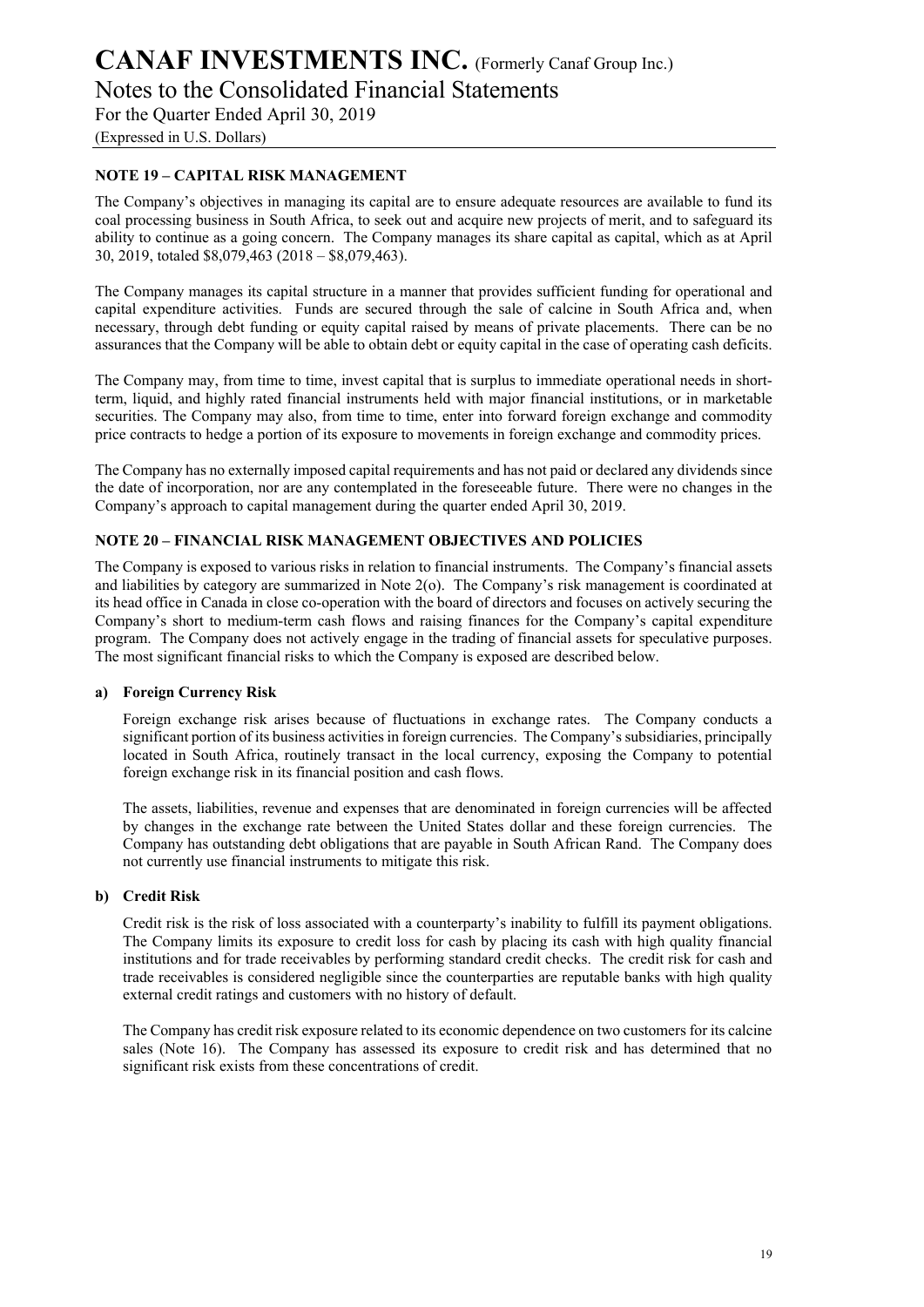Notes to the Consolidated Financial Statements

For the Quarter Ended April 30, 2019

(Expressed in U.S. Dollars)

#### **NOTE 19 – CAPITAL RISK MANAGEMENT**

The Company's objectives in managing its capital are to ensure adequate resources are available to fund its coal processing business in South Africa, to seek out and acquire new projects of merit, and to safeguard its ability to continue as a going concern. The Company manages its share capital as capital, which as at April 30, 2019, totaled \$8,079,463 (2018 – \$8,079,463).

The Company manages its capital structure in a manner that provides sufficient funding for operational and capital expenditure activities. Funds are secured through the sale of calcine in South Africa and, when necessary, through debt funding or equity capital raised by means of private placements. There can be no assurances that the Company will be able to obtain debt or equity capital in the case of operating cash deficits.

The Company may, from time to time, invest capital that is surplus to immediate operational needs in shortterm, liquid, and highly rated financial instruments held with major financial institutions, or in marketable securities. The Company may also, from time to time, enter into forward foreign exchange and commodity price contracts to hedge a portion of its exposure to movements in foreign exchange and commodity prices.

The Company has no externally imposed capital requirements and has not paid or declared any dividends since the date of incorporation, nor are any contemplated in the foreseeable future. There were no changes in the Company's approach to capital management during the quarter ended April 30, 2019.

#### **NOTE 20 – FINANCIAL RISK MANAGEMENT OBJECTIVES AND POLICIES**

The Company is exposed to various risks in relation to financial instruments. The Company's financial assets and liabilities by category are summarized in Note 2(o). The Company's risk management is coordinated at its head office in Canada in close co-operation with the board of directors and focuses on actively securing the Company's short to medium-term cash flows and raising finances for the Company's capital expenditure program. The Company does not actively engage in the trading of financial assets for speculative purposes. The most significant financial risks to which the Company is exposed are described below.

#### **a) Foreign Currency Risk**

Foreign exchange risk arises because of fluctuations in exchange rates. The Company conducts a significant portion of its business activities in foreign currencies. The Company's subsidiaries, principally located in South Africa, routinely transact in the local currency, exposing the Company to potential foreign exchange risk in its financial position and cash flows.

The assets, liabilities, revenue and expenses that are denominated in foreign currencies will be affected by changes in the exchange rate between the United States dollar and these foreign currencies. The Company has outstanding debt obligations that are payable in South African Rand. The Company does not currently use financial instruments to mitigate this risk.

#### **b) Credit Risk**

Credit risk is the risk of loss associated with a counterparty's inability to fulfill its payment obligations. The Company limits its exposure to credit loss for cash by placing its cash with high quality financial institutions and for trade receivables by performing standard credit checks. The credit risk for cash and trade receivables is considered negligible since the counterparties are reputable banks with high quality external credit ratings and customers with no history of default.

The Company has credit risk exposure related to its economic dependence on two customers for its calcine sales (Note 16). The Company has assessed its exposure to credit risk and has determined that no significant risk exists from these concentrations of credit.